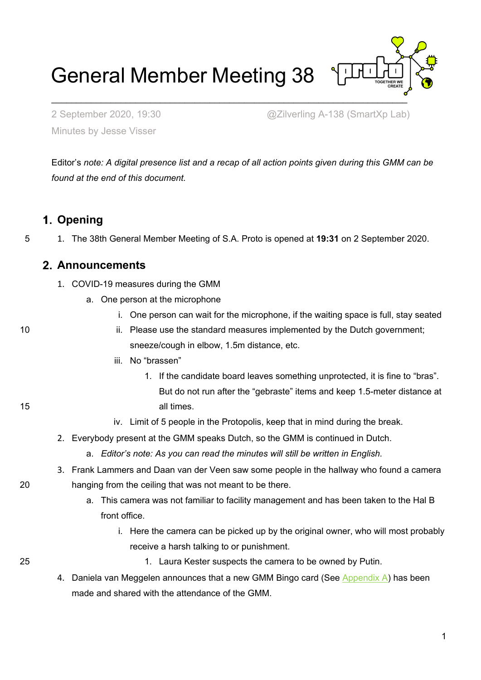General Member Meeting 38

 $\mathcal{L}_\text{max}$  , and the contract of the contract of the contract of the contract of the contract of the contract of the contract of the contract of the contract of the contract of the contract of the contract of the contr

Minutes by Jesse Visser

2 September 2020, 19:30 @Zilverling A-138 (SmartXp Lab)

Editor's *note: A digital presence list and a recap of all action points given during this GMM can be found at the end of this document.*

## **Opening**

5 1. The 38th General Member Meeting of S.A. Proto is opened at **19:31** on 2 September 2020.

### **Announcements**

- 1. COVID-19 measures during the GMM
	- a. One person at the microphone
		- i. One person can wait for the microphone, if the waiting space is full, stay seated

10 ii. Please use the standard measures implemented by the Dutch government; sneeze/cough in elbow, 1.5m distance, etc.

- iii. No "brassen"
- 1. If the candidate board leaves something unprotected, it is fine to "bras". But do not run after the "gebraste" items and keep 1.5-meter distance at 15 all times.
	- iv. Limit of 5 people in the Protopolis, keep that in mind during the break.
	- 2. Everybody present at the GMM speaks Dutch, so the GMM is continued in Dutch.
		- a. *Editor's note: As you can read the minutes will still be written in English.*
- 3. Frank Lammers and Daan van der Veen saw some people in the hallway who found a camera 20 hanging from the ceiling that was not meant to be there.
	- a. This camera was not familiar to facility management and has been taken to the Hal B front office.
		- i. Here the camera can be picked up by the original owner, who will most probably receive a harsh talking to or punishment.

- 
- 25 1. Laura Kester suspects the camera to be owned by Putin.
	- 4. Daniela van Meggelen announces that a new GMM Bingo card (See [Appendix A\)](#page-52-0) has been made and shared with the attendance of the GMM.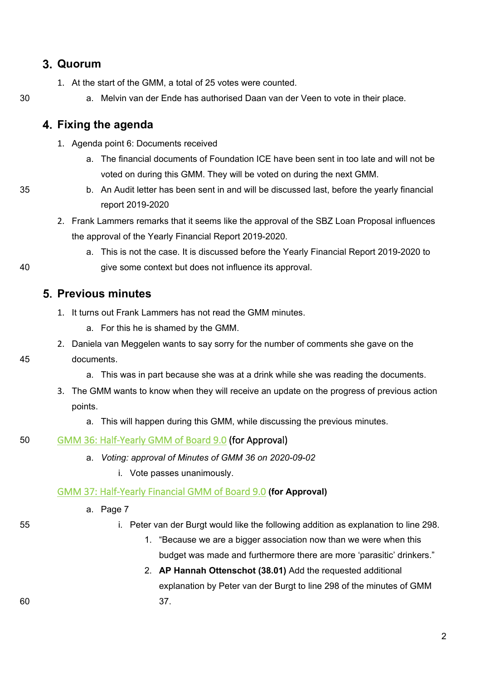## **Quorum**

1. At the start of the GMM, a total of 25 votes were counted.

#### 30 a. Melvin van der Ende has authorised Daan van der Veen to vote in their place.

## **Fixing the agenda**

- 1. Agenda point 6: Documents received
	- a. The financial documents of Foundation ICE have been sent in too late and will not be voted on during this GMM. They will be voted on during the next GMM.
- 35 b. An Audit letter has been sent in and will be discussed last, before the yearly financial report 2019-2020
	- 2. Frank Lammers remarks that it seems like the approval of the SBZ Loan Proposal influences the approval of the Yearly Financial Report 2019-2020.
- a. This is not the case. It is discussed before the Yearly Financial Report 2019-2020 to 40 give some context but does not influence its approval.

### **Previous minutes**

- 1. It turns out Frank Lammers has not read the GMM minutes.
	- a. For this he is shamed by the GMM.
- 2. Daniela van Meggelen wants to say sorry for the number of comments she gave on the

#### 45 documents.

- a. This was in part because she was at a drink while she was reading the documents.
- 3. The GMM wants to know when they will receive an update on the progress of previous action points.
	- a. This will happen during this GMM, while discussing the previous minutes.

#### 50 [GMM 36: Half-Yearly GMM of Board 9.0](https://wiki.proto.utwente.nl/_media/proto/gmmdocs/minutes_gmm_36.pdf) (for Approval)

- a. *Voting: approval of Minutes of GMM 36 on 2020-09-02*
	- i. Vote passes unanimously.

#### [GMM 37: Half-Yearly Financial GMM of Board 9.0](https://wiki.proto.utwente.nl/_media/proto/gmmdocs/notulen_gmm_37_-_final.pdf) **(for Approval)**

- a. Page 7
- 
- 55 i. Peter van der Burgt would like the following addition as explanation to line 298.
	- 1. "Because we are a bigger association now than we were when this budget was made and furthermore there are more 'parasitic' drinkers."
- 2. **AP Hannah Ottenschot (38.01)** Add the requested additional explanation by Peter van der Burgt to line 298 of the minutes of GMM 60 37.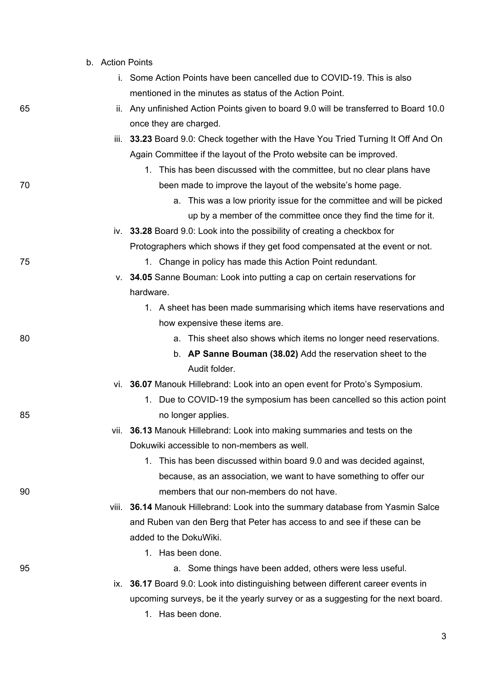|    | b. Action Points |                                                                                       |
|----|------------------|---------------------------------------------------------------------------------------|
|    |                  | i. Some Action Points have been cancelled due to COVID-19. This is also               |
|    |                  | mentioned in the minutes as status of the Action Point.                               |
| 65 |                  | ii. Any unfinished Action Points given to board 9.0 will be transferred to Board 10.0 |
|    |                  | once they are charged.                                                                |
|    |                  | iii. 33.23 Board 9.0: Check together with the Have You Tried Turning It Off And On    |
|    |                  | Again Committee if the layout of the Proto website can be improved.                   |
|    |                  | 1. This has been discussed with the committee, but no clear plans have                |
| 70 |                  | been made to improve the layout of the website's home page.                           |
|    |                  | This was a low priority issue for the committee and will be picked<br>a.              |
|    |                  | up by a member of the committee once they find the time for it.                       |
|    |                  | iv. 33.28 Board 9.0: Look into the possibility of creating a checkbox for             |
|    |                  | Protographers which shows if they get food compensated at the event or not.           |
| 75 |                  | 1. Change in policy has made this Action Point redundant.                             |
|    |                  | v. 34.05 Sanne Bouman: Look into putting a cap on certain reservations for            |
|    |                  | hardware.                                                                             |
|    |                  | 1. A sheet has been made summarising which items have reservations and                |
|    |                  | how expensive these items are.                                                        |
| 80 |                  | a. This sheet also shows which items no longer need reservations.                     |
|    |                  | b. AP Sanne Bouman (38.02) Add the reservation sheet to the                           |
|    |                  | Audit folder.                                                                         |
|    |                  | vi. 36.07 Manouk Hillebrand: Look into an open event for Proto's Symposium.           |
|    |                  | 1. Due to COVID-19 the symposium has been cancelled so this action point              |
| 85 |                  | no longer applies.                                                                    |
|    |                  | vii. 36.13 Manouk Hillebrand: Look into making summaries and tests on the             |
|    |                  | Dokuwiki accessible to non-members as well.                                           |
|    |                  | 1. This has been discussed within board 9.0 and was decided against,                  |
|    |                  | because, as an association, we want to have something to offer our                    |
| 90 |                  | members that our non-members do not have.                                             |
|    |                  | viii. 36.14 Manouk Hillebrand: Look into the summary database from Yasmin Salce       |
|    |                  | and Ruben van den Berg that Peter has access to and see if these can be               |
|    |                  | added to the DokuWiki.                                                                |
|    |                  | 1. Has been done.                                                                     |
| 95 |                  | a. Some things have been added, others were less useful.                              |
|    |                  | ix. 36.17 Board 9.0: Look into distinguishing between different career events in      |
|    |                  | upcoming surveys, be it the yearly survey or as a suggesting for the next board.      |
|    |                  | 1. Has been done.                                                                     |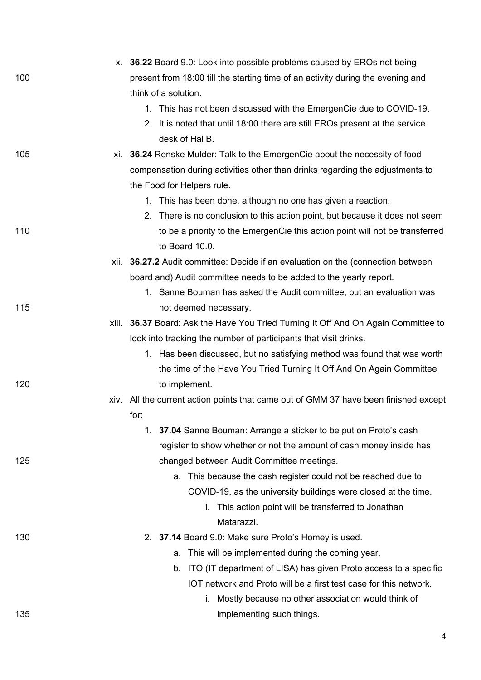|     | x. 36.22 Board 9.0: Look into possible problems caused by EROs not being                       |
|-----|------------------------------------------------------------------------------------------------|
| 100 | present from 18:00 till the starting time of an activity during the evening and                |
|     | think of a solution.                                                                           |
|     | 1. This has not been discussed with the EmergenCie due to COVID-19.                            |
|     | 2. It is noted that until 18:00 there are still EROs present at the service                    |
|     | desk of Hal B.                                                                                 |
| 105 | xi. 36.24 Renske Mulder: Talk to the EmergenCie about the necessity of food                    |
|     | compensation during activities other than drinks regarding the adjustments to                  |
|     | the Food for Helpers rule.                                                                     |
|     | 1. This has been done, although no one has given a reaction.                                   |
|     | 2. There is no conclusion to this action point, but because it does not seem                   |
| 110 | to be a priority to the EmergenCie this action point will not be transferred<br>to Board 10.0. |
|     | xii. 36.27.2 Audit committee: Decide if an evaluation on the (connection between               |
|     | board and) Audit committee needs to be added to the yearly report.                             |
|     | 1. Sanne Bouman has asked the Audit committee, but an evaluation was                           |
| 115 | not deemed necessary.                                                                          |
|     | xiii. 36.37 Board: Ask the Have You Tried Turning It Off And On Again Committee to             |
|     | look into tracking the number of participants that visit drinks.                               |
|     | 1. Has been discussed, but no satisfying method was found that was worth                       |
|     | the time of the Have You Tried Turning It Off And On Again Committee                           |
| 120 | to implement.                                                                                  |
|     | xiv. All the current action points that came out of GMM 37 have been finished except           |
|     | for:                                                                                           |
|     | 1. 37.04 Sanne Bouman: Arrange a sticker to be put on Proto's cash                             |
|     | register to show whether or not the amount of cash money inside has                            |
| 125 | changed between Audit Committee meetings.                                                      |
|     | This because the cash register could not be reached due to<br>а.                               |
|     | COVID-19, as the university buildings were closed at the time.                                 |
|     | i. This action point will be transferred to Jonathan                                           |
|     | Matarazzi.                                                                                     |
| 130 | 2. 37.14 Board 9.0: Make sure Proto's Homey is used.                                           |
|     | This will be implemented during the coming year.<br>а.                                         |
|     | ITO (IT department of LISA) has given Proto access to a specific<br>b.                         |
|     | IOT network and Proto will be a first test case for this network.                              |
|     | Mostly because no other association would think of<br>i.                                       |
| 135 | implementing such things.                                                                      |
|     |                                                                                                |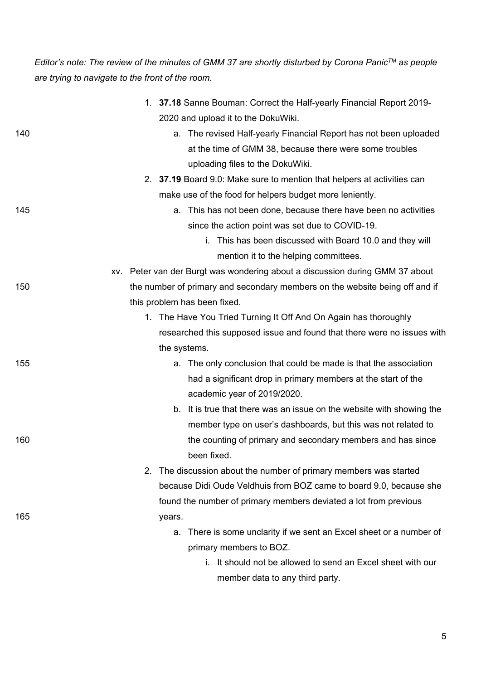*Editor's note: The review of the minutes of GMM 37 are shortly disturbed by Corona PanicTM as people are trying to navigate to the front of the room.*

|     | 1. 37.18 Sanne Bouman: Correct the Half-yearly Financial Report 2019-        |
|-----|------------------------------------------------------------------------------|
|     | 2020 and upload it to the DokuWiki.                                          |
| 140 | a. The revised Half-yearly Financial Report has not been uploaded            |
|     | at the time of GMM 38, because there were some troubles                      |
|     | uploading files to the DokuWiki.                                             |
|     | 2. 37.19 Board 9.0: Make sure to mention that helpers at activities can      |
|     | make use of the food for helpers budget more leniently.                      |
| 145 | a. This has not been done, because there have been no activities             |
|     | since the action point was set due to COVID-19.                              |
|     | i. This has been discussed with Board 10.0 and they will                     |
|     | mention it to the helping committees.                                        |
|     | xv. Peter van der Burgt was wondering about a discussion during GMM 37 about |
| 150 | the number of primary and secondary members on the website being off and if  |
|     | this problem has been fixed.                                                 |
|     | 1. The Have You Tried Turning It Off And On Again has thoroughly             |
|     | researched this supposed issue and found that there were no issues with      |
|     | the systems.                                                                 |
| 155 | a. The only conclusion that could be made is that the association            |
|     | had a significant drop in primary members at the start of the                |
|     | academic year of 2019/2020.                                                  |
|     | b. It is true that there was an issue on the website with showing the        |
|     | member type on user's dashboards, but this was not related to                |
| 160 | the counting of primary and secondary members and has since                  |
|     | been fixed.                                                                  |
|     | 2. The discussion about the number of primary members was started            |
|     | because Didi Oude Veldhuis from BOZ came to board 9.0, because she           |
|     | found the number of primary members deviated a lot from previous             |
| 165 | years.                                                                       |
|     | There is some unclarity if we sent an Excel sheet or a number of<br>а.       |
|     | primary members to BOZ.                                                      |
|     | i. It should not be allowed to send an Excel sheet with our                  |
|     | member data to any third party.                                              |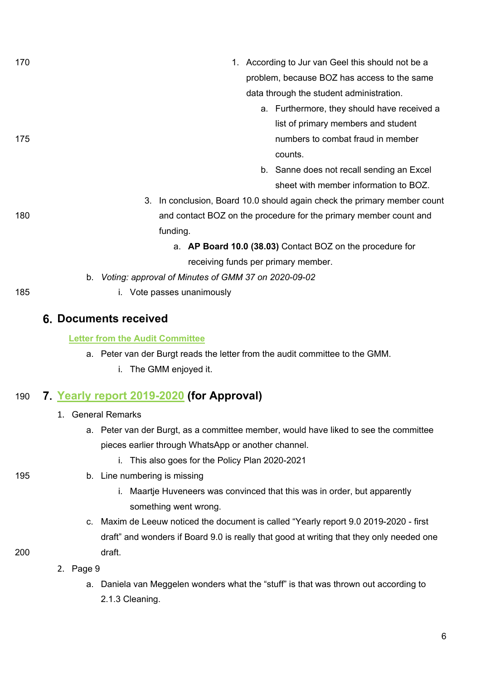| 170 | 1. According to Jur van Geel this should not be a                            |
|-----|------------------------------------------------------------------------------|
|     | problem, because BOZ has access to the same                                  |
|     | data through the student administration.                                     |
|     | a. Furthermore, they should have received a                                  |
|     | list of primary members and student                                          |
| 175 | numbers to combat fraud in member                                            |
|     | counts.                                                                      |
|     | b. Sanne does not recall sending an Excel                                    |
|     | sheet with member information to BOZ.                                        |
|     | 3. In conclusion, Board 10.0 should again check the primary member count     |
| 180 | and contact BOZ on the procedure for the primary member count and            |
|     | funding.                                                                     |
|     | a. AP Board 10.0 (38.03) Contact BOZ on the procedure for                    |
|     | receiving funds per primary member.                                          |
|     | b. Voting: approval of Minutes of GMM 37 on 2020-09-02                       |
| 185 | i. Vote passes unanimously                                                   |
|     |                                                                              |
|     | <b>6. Documents received</b>                                                 |
|     | <b>Letter from the Audit Committee</b>                                       |
|     | a. Peter van der Burgt reads the letter from the audit committee to the GMM. |

i. The GMM enjoyed it.

# 190 **[Yearly report 2019-2020](https://wiki.proto.utwente.nl/_media/proto/gmmdocs/yearly_report_9.0_2019-2020_-_first_draft.pdf) (for Approval)**

- 1. General Remarks
	- a. Peter van der Burgt, as a committee member, would have liked to see the committee pieces earlier through WhatsApp or another channel.
		- i. This also goes for the Policy Plan 2020-2021
- 195 b. Line numbering is missing
	- i. Maartje Huveneers was convinced that this was in order, but apparently something went wrong.
- c. Maxim de Leeuw noticed the document is called "Yearly report 9.0 2019-2020 first draft" and wonders if Board 9.0 is really that good at writing that they only needed one 200 draft.
	- 2. Page 9
		- a. Daniela van Meggelen wonders what the "stuff" is that was thrown out according to 2.1.3 Cleaning.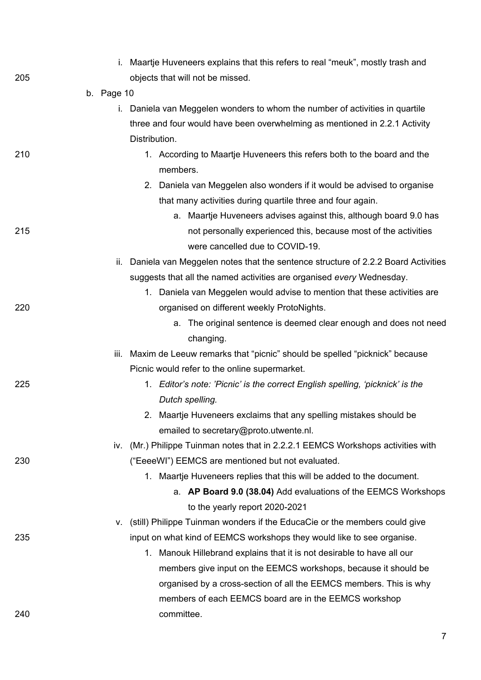|     |            | i. Maartje Huveneers explains that this refers to real "meuk", mostly trash and     |
|-----|------------|-------------------------------------------------------------------------------------|
| 205 |            | objects that will not be missed.                                                    |
|     | b. Page 10 |                                                                                     |
|     |            | i. Daniela van Meggelen wonders to whom the number of activities in quartile        |
|     |            | three and four would have been overwhelming as mentioned in 2.2.1 Activity          |
|     |            | Distribution.                                                                       |
| 210 |            | 1. According to Maartje Huveneers this refers both to the board and the<br>members. |
|     |            | 2. Daniela van Meggelen also wonders if it would be advised to organise             |
|     |            | that many activities during quartile three and four again.                          |
|     |            | a. Maartje Huveneers advises against this, although board 9.0 has                   |
| 215 |            | not personally experienced this, because most of the activities                     |
|     |            | were cancelled due to COVID-19.                                                     |
|     | ii.        | Daniela van Meggelen notes that the sentence structure of 2.2.2 Board Activities    |
|     |            | suggests that all the named activities are organised every Wednesday.               |
|     |            | 1. Daniela van Meggelen would advise to mention that these activities are           |
| 220 |            | organised on different weekly ProtoNights.                                          |
|     |            | The original sentence is deemed clear enough and does not need<br>а.<br>changing.   |
|     | iii.       | Maxim de Leeuw remarks that "picnic" should be spelled "picknick" because           |
|     |            | Picnic would refer to the online supermarket.                                       |
| 225 |            | 1. Editor's note: 'Picnic' is the correct English spelling, 'picknick' is the       |
|     |            | Dutch spelling.                                                                     |
|     |            | 2. Maartje Huveneers exclaims that any spelling mistakes should be                  |
|     |            | emailed to secretary@proto.utwente.nl.                                              |
|     | IV.        | (Mr.) Philippe Tuinman notes that in 2.2.2.1 EEMCS Workshops activities with        |
| 230 |            | ("EeeeWI") EEMCS are mentioned but not evaluated.                                   |
|     |            | 1. Maartje Huveneers replies that this will be added to the document.               |
|     |            | a. AP Board 9.0 (38.04) Add evaluations of the EEMCS Workshops                      |
|     |            | to the yearly report 2020-2021                                                      |
|     | v.         | (still) Philippe Tuinman wonders if the EducaCie or the members could give          |
| 235 |            | input on what kind of EEMCS workshops they would like to see organise.              |
|     |            | 1. Manouk Hillebrand explains that it is not desirable to have all our              |
|     |            | members give input on the EEMCS workshops, because it should be                     |
|     |            | organised by a cross-section of all the EEMCS members. This is why                  |
|     |            | members of each EEMCS board are in the EEMCS workshop                               |
| 240 |            | committee.                                                                          |
|     |            |                                                                                     |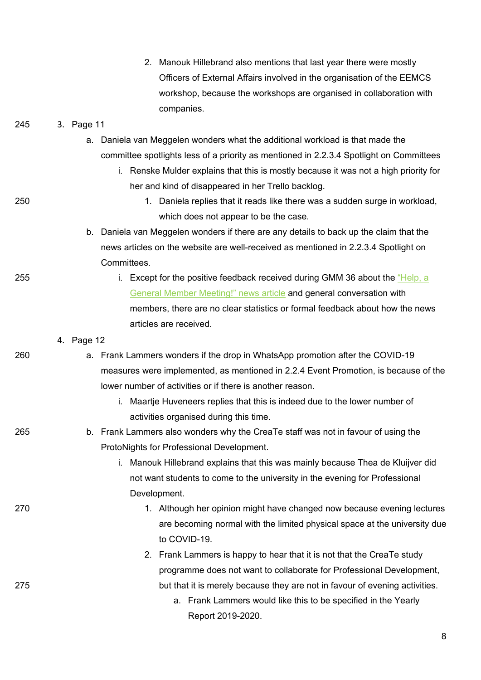|     |            | 2. Manouk Hillebrand also mentions that last year there were mostly                     |
|-----|------------|-----------------------------------------------------------------------------------------|
|     |            | Officers of External Affairs involved in the organisation of the EEMCS                  |
|     |            | workshop, because the workshops are organised in collaboration with                     |
|     |            | companies.                                                                              |
| 245 | 3. Page 11 |                                                                                         |
|     | а.         | Daniela van Meggelen wonders what the additional workload is that made the              |
|     |            | committee spotlights less of a priority as mentioned in 2.2.3.4 Spotlight on Committees |
|     |            | i. Renske Mulder explains that this is mostly because it was not a high priority for    |
|     |            | her and kind of disappeared in her Trello backlog.                                      |
| 250 |            | 1. Daniela replies that it reads like there was a sudden surge in workload,             |
|     |            | which does not appear to be the case.                                                   |
|     |            | b. Daniela van Meggelen wonders if there are any details to back up the claim that the  |
|     |            | news articles on the website are well-received as mentioned in 2.2.3.4 Spotlight on     |
|     |            | Committees.                                                                             |
| 255 |            | i. Except for the positive feedback received during GMM 36 about the "Help, a           |
|     |            | General Member Meeting!" news article and general conversation with                     |
|     |            | members, there are no clear statistics or formal feedback about how the news            |
|     |            | articles are received.                                                                  |
|     | 4. Page 12 |                                                                                         |
| 260 |            | a. Frank Lammers wonders if the drop in WhatsApp promotion after the COVID-19           |
|     |            | measures were implemented, as mentioned in 2.2.4 Event Promotion, is because of the     |
|     |            | lower number of activities or if there is another reason.                               |
|     |            | Maartje Huveneers replies that this is indeed due to the lower number of                |
|     |            | activities organised during this time                                                   |
| 265 |            | b. Frank Lammers also wonders why the CreaTe staff was not in favour of using the       |
|     |            | ProtoNights for Professional Development.                                               |
|     |            | Manouk Hillebrand explains that this was mainly because Thea de Kluijver did<br>i.      |
|     |            | not want students to come to the university in the evening for Professional             |
|     |            | Development.                                                                            |
| 270 |            | 1. Although her opinion might have changed now because evening lectures                 |
|     |            | are becoming normal with the limited physical space at the university due               |
|     |            | to COVID-19.                                                                            |
|     |            | 2. Frank Lammers is happy to hear that it is not that the CreaTe study                  |
|     |            | programme does not want to collaborate for Professional Development,                    |
| 275 |            | but that it is merely because they are not in favour of evening activities.             |
|     |            | a. Frank Lammers would like this to be specified in the Yearly                          |
|     |            | Report 2019-2020.                                                                       |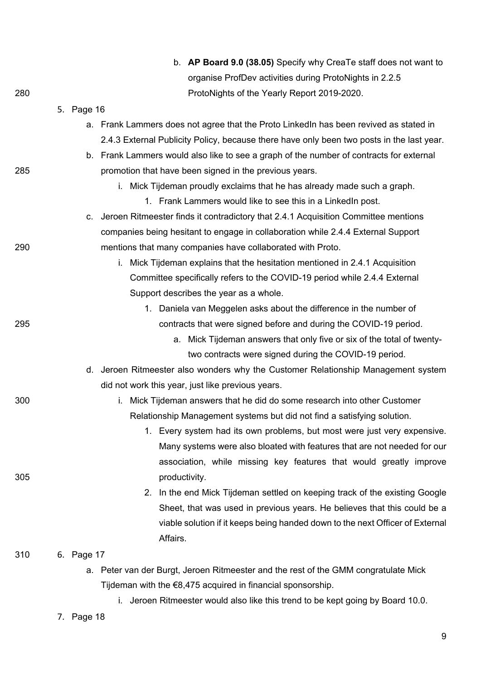|     |            |    | b. AP Board 9.0 (38.05) Specify why CreaTe staff does not want to                         |
|-----|------------|----|-------------------------------------------------------------------------------------------|
|     |            |    | organise ProfDev activities during ProtoNights in 2.2.5                                   |
| 280 |            |    | ProtoNights of the Yearly Report 2019-2020.                                               |
|     | 5. Page 16 |    |                                                                                           |
|     |            |    | a. Frank Lammers does not agree that the Proto LinkedIn has been revived as stated in     |
|     |            |    | 2.4.3 External Publicity Policy, because there have only been two posts in the last year. |
|     |            |    | b. Frank Lammers would also like to see a graph of the number of contracts for external   |
| 285 |            |    | promotion that have been signed in the previous years.                                    |
|     |            |    | i. Mick Tijdeman proudly exclaims that he has already made such a graph.                  |
|     |            |    | 1. Frank Lammers would like to see this in a Linked n post.                               |
|     |            |    | c. Jeroen Ritmeester finds it contradictory that 2.4.1 Acquisition Committee mentions     |
|     |            |    | companies being hesitant to engage in collaboration while 2.4.4 External Support          |
| 290 |            |    | mentions that many companies have collaborated with Proto.                                |
|     |            |    | Mick Tijdeman explains that the hesitation mentioned in 2.4.1 Acquisition<br>i.           |
|     |            |    | Committee specifically refers to the COVID-19 period while 2.4.4 External                 |
|     |            |    | Support describes the year as a whole.                                                    |
|     |            |    | 1. Daniela van Meggelen asks about the difference in the number of                        |
| 295 |            |    | contracts that were signed before and during the COVID-19 period.                         |
|     |            |    | a. Mick Tijdeman answers that only five or six of the total of twenty-                    |
|     |            |    | two contracts were signed during the COVID-19 period.                                     |
|     |            |    | d. Jeroen Ritmeester also wonders why the Customer Relationship Management system         |
|     |            |    | did not work this year, just like previous years.                                         |
| 300 |            |    | Mick Tijdeman answers that he did do some research into other Customer                    |
|     |            |    | Relationship Management systems but did not find a satisfying solution.                   |
|     |            |    | 1. Every system had its own problems, but most were just very expensive.                  |
|     |            |    | Many systems were also bloated with features that are not needed for our                  |
|     |            |    | association, while missing key features that would greatly improve                        |
| 305 |            |    | productivity.                                                                             |
|     |            |    | In the end Mick Tijdeman settled on keeping track of the existing Google<br>2.            |
|     |            |    | Sheet, that was used in previous years. He believes that this could be a                  |
|     |            |    | viable solution if it keeps being handed down to the next Officer of External<br>Affairs. |
| 310 | 6. Page 17 |    |                                                                                           |
|     |            | а. | Peter van der Burgt, Jeroen Ritmeester and the rest of the GMM congratulate Mick          |
|     |            |    | Tijdeman with the $\epsilon$ 8,475 acquired in financial sponsorship.                     |
|     |            |    | i. Jeroen Ritmeester would also like this trend to be kept going by Board 10.0.           |

7. Page 18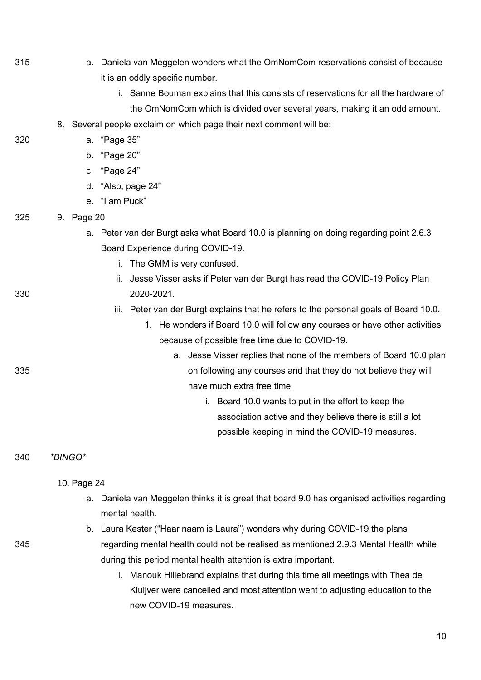- 315 a. Daniela van Meggelen wonders what the OmNomCom reservations consist of because it is an oddly specific number.
	- i. Sanne Bouman explains that this consists of reservations for all the hardware of the OmNomCom which is divided over several years, making it an odd amount.
	- 8. Several people exclaim on which page their next comment will be:

320 a. "Page 35"

- b. "Page 20"
- c. "Page 24"
- d. "Also, page 24"
- e. "I am Puck"
- 325 9. Page 20
	- a. Peter van der Burgt asks what Board 10.0 is planning on doing regarding point 2.6.3 Board Experience during COVID-19.
		- i. The GMM is very confused.
- ii. Jesse Visser asks if Peter van der Burgt has read the COVID-19 Policy Plan 330 2020-2021.
	- iii. Peter van der Burgt explains that he refers to the personal goals of Board 10.0.
		- 1. He wonders if Board 10.0 will follow any courses or have other activities because of possible free time due to COVID-19.
- a. Jesse Visser replies that none of the members of Board 10.0 plan 335 on following any courses and that they do not believe they will have much extra free time.
	- i. Board 10.0 wants to put in the effort to keep the association active and they believe there is still a lot possible keeping in mind the COVID-19 measures.

#### 340 *\*BINGO\**

#### 10. Page 24

- a. Daniela van Meggelen thinks it is great that board 9.0 has organised activities regarding mental health.
- b. Laura Kester ("Haar naam is Laura") wonders why during COVID-19 the plans 345 regarding mental health could not be realised as mentioned 2.9.3 Mental Health while during this period mental health attention is extra important.
	- i. Manouk Hillebrand explains that during this time all meetings with Thea de Kluijver were cancelled and most attention went to adjusting education to the new COVID-19 measures.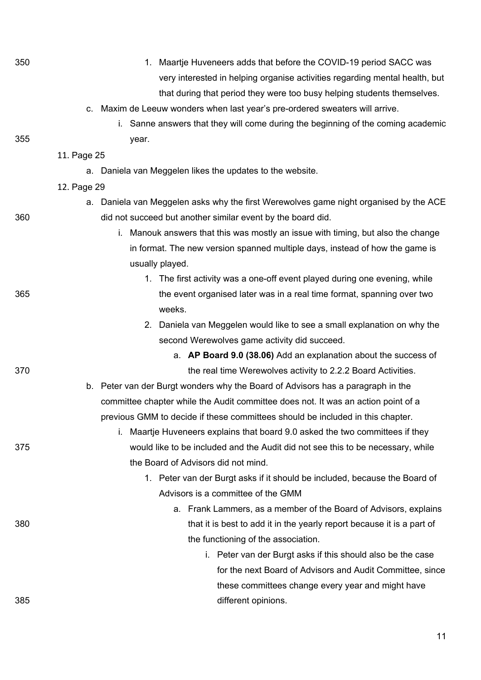| 350 | 1. Maartje Huveneers adds that before the COVID-19 period SACC was                    |
|-----|---------------------------------------------------------------------------------------|
|     | very interested in helping organise activities regarding mental health, but           |
|     | that during that period they were too busy helping students themselves.               |
|     | c. Maxim de Leeuw wonders when last year's pre-ordered sweaters will arrive.          |
|     | i. Sanne answers that they will come during the beginning of the coming academic      |
| 355 | year.                                                                                 |
|     | 11. Page 25                                                                           |
|     | a. Daniela van Meggelen likes the updates to the website.                             |
|     | 12. Page 29                                                                           |
|     | a. Daniela van Meggelen asks why the first Werewolves game night organised by the ACE |
| 360 | did not succeed but another similar event by the board did.                           |
|     | i. Manouk answers that this was mostly an issue with timing, but also the change      |
|     | in format. The new version spanned multiple days, instead of how the game is          |
|     | usually played.                                                                       |
|     | 1. The first activity was a one-off event played during one evening, while            |
| 365 | the event organised later was in a real time format, spanning over two                |
|     | weeks.                                                                                |
|     | 2. Daniela van Meggelen would like to see a small explanation on why the              |
|     | second Werewolves game activity did succeed.                                          |
|     | a. AP Board 9.0 (38.06) Add an explanation about the success of                       |
| 370 | the real time Werewolves activity to 2.2.2 Board Activities.                          |
|     | b. Peter van der Burgt wonders why the Board of Advisors has a paragraph in the       |
|     | committee chapter while the Audit committee does not. It was an action point of a     |
|     | previous GMM to decide if these committees should be included in this chapter.        |
|     | Maartje Huveneers explains that board 9.0 asked the two committees if they<br>i.      |
| 375 | would like to be included and the Audit did not see this to be necessary, while       |
|     | the Board of Advisors did not mind.                                                   |
|     | 1. Peter van der Burgt asks if it should be included, because the Board of            |
|     | Advisors is a committee of the GMM                                                    |
|     | a. Frank Lammers, as a member of the Board of Advisors, explains                      |
| 380 | that it is best to add it in the yearly report because it is a part of                |
|     | the functioning of the association.                                                   |
|     | i. Peter van der Burgt asks if this should also be the case                           |
|     | for the next Board of Advisors and Audit Committee, since                             |
|     | these committees change every year and might have                                     |
| 385 | different opinions.                                                                   |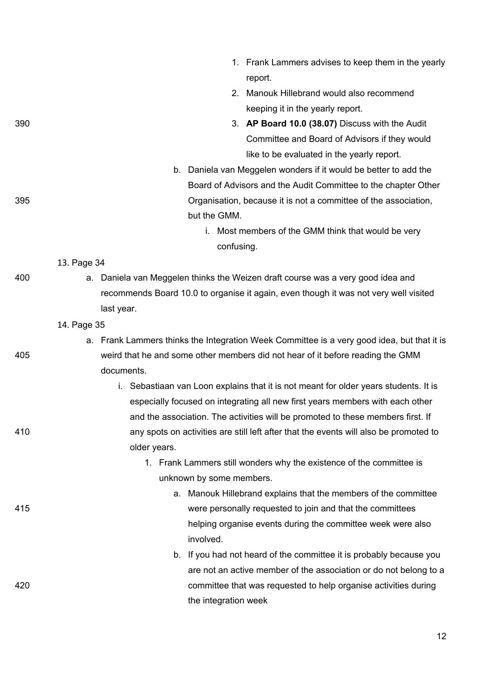- 1. Frank Lammers advises to keep them in the yearly report.
- 2. Manouk Hillebrand would also recommend keeping it in the yearly report.
- 390 3. **AP Board 10.0 (38.07)** Discuss with the Audit Committee and Board of Advisors if they would like to be evaluated in the yearly report.
- b. Daniela van Meggelen wonders if it would be better to add the Board of Advisors and the Audit Committee to the chapter Other 395 Organisation, because it is not a committee of the association, but the GMM.
	- i. Most members of the GMM think that would be very confusing.

#### 13. Page 34

400 a. Daniela van Meggelen thinks the Weizen draft course was a very good idea and recommends Board 10.0 to organise it again, even though it was not very well visited last year.

#### 14. Page 35

- a. Frank Lammers thinks the Integration Week Committee is a very good idea, but that it is 405 weird that he and some other members did not hear of it before reading the GMM documents.
- i. Sebastiaan van Loon explains that it is not meant for older years students. It is especially focused on integrating all new first years members with each other and the association. The activities will be promoted to these members first. If 410 any spots on activities are still left after that the events will also be promoted to older years.

### 1. Frank Lammers still wonders why the existence of the committee is unknown by some members.

- a. Manouk Hillebrand explains that the members of the committee 415 were personally requested to join and that the committees helping organise events during the committee week were also involved.
- b. If you had not heard of the committee it is probably because you are not an active member of the association or do not belong to a 420 committee that was requested to help organise activities during the integration week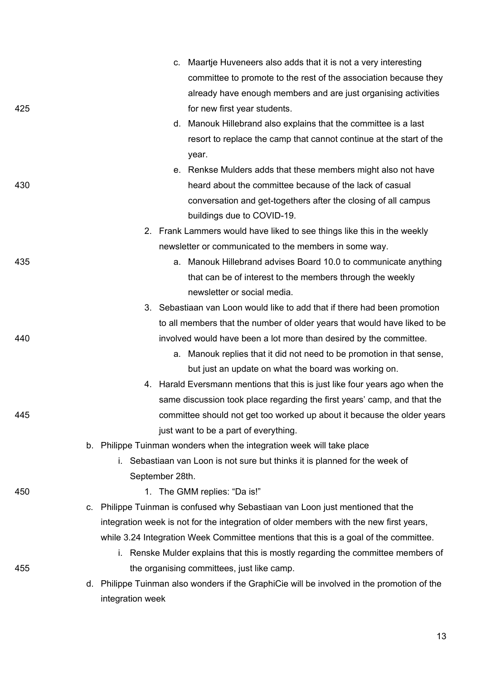|     |    | c. Maartje Huveneers also adds that it is not a very interesting                           |
|-----|----|--------------------------------------------------------------------------------------------|
|     |    | committee to promote to the rest of the association because they                           |
|     |    | already have enough members and are just organising activities                             |
| 425 |    | for new first year students.                                                               |
|     |    | d. Manouk Hillebrand also explains that the committee is a last                            |
|     |    | resort to replace the camp that cannot continue at the start of the                        |
|     |    | year.                                                                                      |
|     |    | e. Renkse Mulders adds that these members might also not have                              |
| 430 |    | heard about the committee because of the lack of casual                                    |
|     |    | conversation and get-togethers after the closing of all campus                             |
|     |    | buildings due to COVID-19.                                                                 |
|     |    | 2. Frank Lammers would have liked to see things like this in the weekly                    |
|     |    | newsletter or communicated to the members in some way.                                     |
| 435 |    | a. Manouk Hillebrand advises Board 10.0 to communicate anything                            |
|     |    | that can be of interest to the members through the weekly                                  |
|     |    | newsletter or social media.                                                                |
|     |    | 3. Sebastiaan van Loon would like to add that if there had been promotion                  |
|     |    | to all members that the number of older years that would have liked to be                  |
| 440 |    | involved would have been a lot more than desired by the committee.                         |
|     |    | a. Manouk replies that it did not need to be promotion in that sense,                      |
|     |    | but just an update on what the board was working on.                                       |
|     |    | 4. Harald Eversmann mentions that this is just like four years ago when the                |
|     |    | same discussion took place regarding the first years' camp, and that the                   |
| 445 |    | committee should not get too worked up about it because the older years                    |
|     |    | just want to be a part of everything.                                                      |
|     |    | b. Philippe Tuinman wonders when the integration week will take place                      |
|     |    | i. Sebastiaan van Loon is not sure but thinks it is planned for the week of                |
|     |    | September 28th.                                                                            |
| 450 |    | The GMM replies: "Da is!"<br>1.                                                            |
|     | C. | Philippe Tuinman is confused why Sebastiaan van Loon just mentioned that the               |
|     |    | integration week is not for the integration of older members with the new first years,     |
|     |    | while 3.24 Integration Week Committee mentions that this is a goal of the committee.       |
|     |    | i. Renske Mulder explains that this is mostly regarding the committee members of           |
| 455 |    | the organising committees, just like camp.                                                 |
|     |    | d. Philippe Tuinman also wonders if the GraphiCie will be involved in the promotion of the |
|     |    | integration week                                                                           |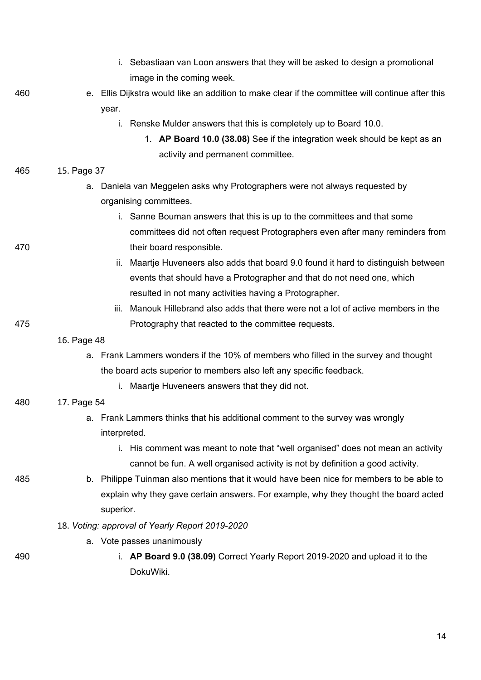- i. Sebastiaan van Loon answers that they will be asked to design a promotional image in the coming week.
- 460 e. Ellis Dijkstra would like an addition to make clear if the committee will continue after this year.
	- i. Renske Mulder answers that this is completely up to Board 10.0.
		- 1. **AP Board 10.0 (38.08)** See if the integration week should be kept as an activity and permanent committee.
- 465 15. Page 37
	- a. Daniela van Meggelen asks why Protographers were not always requested by organising committees.
- i. Sanne Bouman answers that this is up to the committees and that some committees did not often request Protographers even after many reminders from 470 their board responsible.
	- ii. Maartje Huveneers also adds that board 9.0 found it hard to distinguish between events that should have a Protographer and that do not need one, which resulted in not many activities having a Protographer.
- iii. Manouk Hillebrand also adds that there were not a lot of active members in the 475 Protography that reacted to the committee requests.
	- 16. Page 48
		- a. Frank Lammers wonders if the 10% of members who filled in the survey and thought the board acts superior to members also left any specific feedback.
			- i. Maartje Huveneers answers that they did not.
- 480 17. Page 54
	- a. Frank Lammers thinks that his additional comment to the survey was wrongly interpreted.
		- i. His comment was meant to note that "well organised" does not mean an activity cannot be fun. A well organised activity is not by definition a good activity.
- 485 b. Philippe Tuinman also mentions that it would have been nice for members to be able to explain why they gave certain answers. For example, why they thought the board acted superior.
	- 18. *Voting: approval of Yearly Report 2019-2020*
		- a. Vote passes unanimously
- 
- 490 i. **AP Board 9.0 (38.09)** Correct Yearly Report 2019-2020 and upload it to the DokuWiki.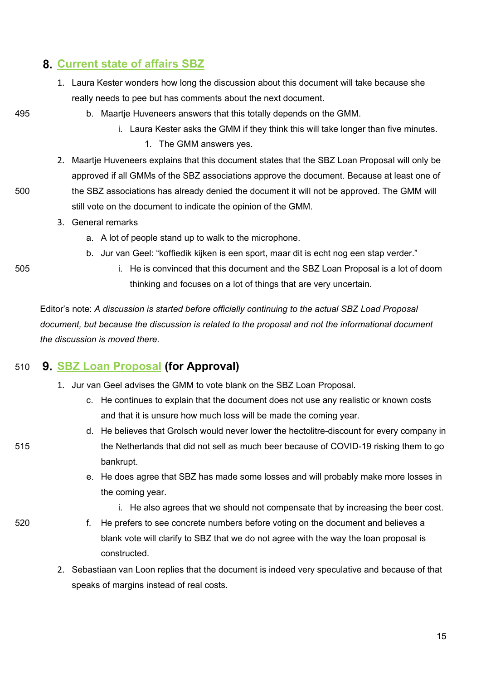## **[Current state of affairs SBZ](https://wiki.proto.utwente.nl/_media/proto/gmmdocs/gmm_-_current_state_of_affairs_sbz_1_.pdf)**

- 1. Laura Kester wonders how long the discussion about this document will take because she really needs to pee but has comments about the next document.
- 
- 495 b. Maartje Huveneers answers that this totally depends on the GMM.
	- i. Laura Kester asks the GMM if they think this will take longer than five minutes.
		- 1. The GMM answers yes.
- 2. Maartje Huveneers explains that this document states that the SBZ Loan Proposal will only be approved if all GMMs of the SBZ associations approve the document. Because at least one of 500 the SBZ associations has already denied the document it will not be approved. The GMM will still vote on the document to indicate the opinion of the GMM.
	- 3. General remarks
		- a. A lot of people stand up to walk to the microphone.
		- b. Jur van Geel: "koffiedik kijken is een sport, maar dit is echt nog een stap verder."
- 
- 505 i. He is convinced that this document and the SBZ Loan Proposal is a lot of doom thinking and focuses on a lot of things that are very uncertain.

Editor's note: *A discussion is started before officially continuing to the actual SBZ Load Proposal document, but because the discussion is related to the proposal and not the informational document the discussion is moved there.*

## 510 **[SBZ Loan Proposal](https://wiki.proto.utwente.nl/_media/proto/gmmdocs/sbz_loan_proposal.pdf) (for Approval)**

- 1. Jur van Geel advises the GMM to vote blank on the SBZ Loan Proposal.
	- c. He continues to explain that the document does not use any realistic or known costs and that it is unsure how much loss will be made the coming year.
- d. He believes that Grolsch would never lower the hectolitre-discount for every company in 515 the Netherlands that did not sell as much beer because of COVID-19 risking them to go bankrupt.
	- e. He does agree that SBZ has made some losses and will probably make more losses in the coming year.
		- i. He also agrees that we should not compensate that by increasing the beer cost.
- 520 f. He prefers to see concrete numbers before voting on the document and believes a blank vote will clarify to SBZ that we do not agree with the way the loan proposal is constructed.
	- 2. Sebastiaan van Loon replies that the document is indeed very speculative and because of that speaks of margins instead of real costs.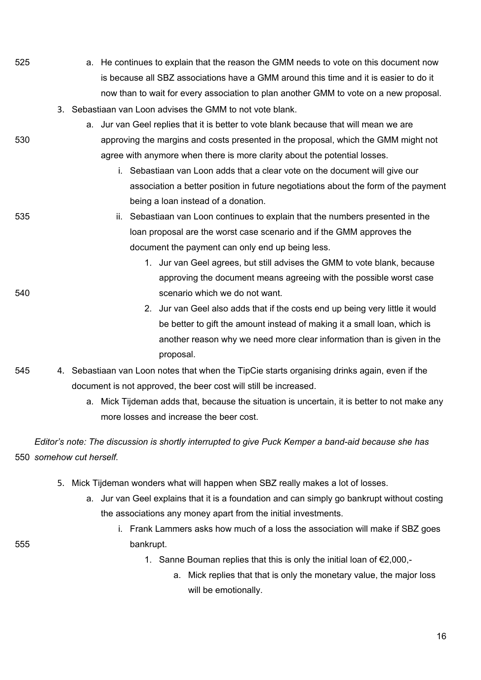- 525 a. He continues to explain that the reason the GMM needs to vote on this document now is because all SBZ associations have a GMM around this time and it is easier to do it now than to wait for every association to plan another GMM to vote on a new proposal.
	- 3. Sebastiaan van Loon advises the GMM to not vote blank.
- a. Jur van Geel replies that it is better to vote blank because that will mean we are 530 approving the margins and costs presented in the proposal, which the GMM might not agree with anymore when there is more clarity about the potential losses.
	- i. Sebastiaan van Loon adds that a clear vote on the document will give our association a better position in future negotiations about the form of the payment being a loan instead of a donation.
- 535 ii. Sebastiaan van Loon continues to explain that the numbers presented in the loan proposal are the worst case scenario and if the GMM approves the document the payment can only end up being less.
- 1. Jur van Geel agrees, but still advises the GMM to vote blank, because approving the document means agreeing with the possible worst case 540 scenario which we do not want.
	- 2. Jur van Geel also adds that if the costs end up being very little it would be better to gift the amount instead of making it a small loan, which is another reason why we need more clear information than is given in the proposal.
- 545 4. Sebastiaan van Loon notes that when the TipCie starts organising drinks again, even if the document is not approved, the beer cost will still be increased.
	- a. Mick Tijdeman adds that, because the situation is uncertain, it is better to not make any more losses and increase the beer cost.

*Editor's note: The discussion is shortly interrupted to give Puck Kemper a band-aid because she has*  550 *somehow cut herself.*

- 5. Mick Tijdeman wonders what will happen when SBZ really makes a lot of losses.
	- a. Jur van Geel explains that it is a foundation and can simply go bankrupt without costing the associations any money apart from the initial investments.
- i. Frank Lammers asks how much of a loss the association will make if SBZ goes 555 bankrupt.
	- 1. Sanne Bouman replies that this is only the initial loan of €2,000,
		- a. Mick replies that that is only the monetary value, the major loss will be emotionally.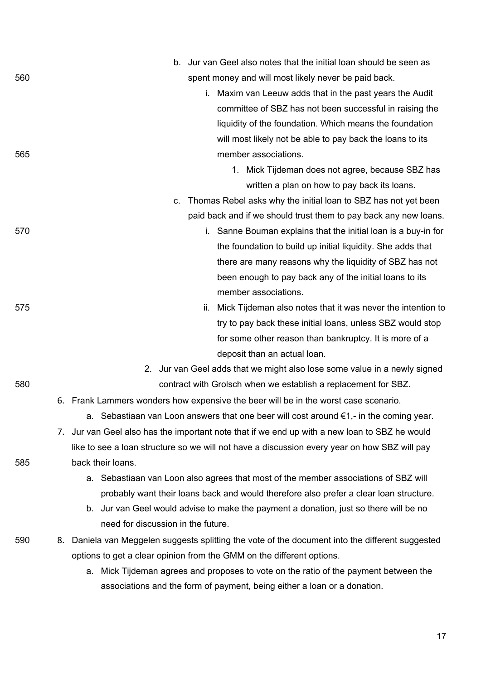|     |    | b. Jur van Geel also notes that the initial loan should be seen as                               |
|-----|----|--------------------------------------------------------------------------------------------------|
| 560 |    | spent money and will most likely never be paid back.                                             |
|     |    | i. Maxim van Leeuw adds that in the past years the Audit                                         |
|     |    | committee of SBZ has not been successful in raising the                                          |
|     |    | liquidity of the foundation. Which means the foundation                                          |
|     |    | will most likely not be able to pay back the loans to its                                        |
| 565 |    | member associations.                                                                             |
|     |    | 1. Mick Tijdeman does not agree, because SBZ has                                                 |
|     |    | written a plan on how to pay back its loans.                                                     |
|     |    | Thomas Rebel asks why the initial loan to SBZ has not yet been<br>C.                             |
|     |    | paid back and if we should trust them to pay back any new loans.                                 |
| 570 |    | i. Sanne Bouman explains that the initial loan is a buy-in for                                   |
|     |    | the foundation to build up initial liquidity. She adds that                                      |
|     |    | there are many reasons why the liquidity of SBZ has not                                          |
|     |    | been enough to pay back any of the initial loans to its                                          |
|     |    | member associations.                                                                             |
| 575 |    | ii. Mick Tijdeman also notes that it was never the intention to                                  |
|     |    | try to pay back these initial loans, unless SBZ would stop                                       |
|     |    | for some other reason than bankruptcy. It is more of a                                           |
|     |    | deposit than an actual loan.                                                                     |
|     |    | 2. Jur van Geel adds that we might also lose some value in a newly signed                        |
| 580 |    | contract with Grolsch when we establish a replacement for SBZ.                                   |
|     |    | 6. Frank Lammers wonders how expensive the beer will be in the worst case scenario.              |
|     |    | a. Sebastiaan van Loon answers that one beer will cost around $\epsilon$ 1,- in the coming year. |
|     | 7. | Jur van Geel also has the important note that if we end up with a new loan to SBZ he would       |
|     |    | like to see a loan structure so we will not have a discussion every year on how SBZ will pay     |
| 585 |    | back their loans.                                                                                |
|     |    | a. Sebastiaan van Loon also agrees that most of the member associations of SBZ will              |
|     |    | probably want their loans back and would therefore also prefer a clear loan structure.           |
|     |    | b. Jur van Geel would advise to make the payment a donation, just so there will be no            |
|     |    | need for discussion in the future.                                                               |
| 590 | 8. | Daniela van Meggelen suggests splitting the vote of the document into the different suggested    |
|     |    | options to get a clear opinion from the GMM on the different options.                            |
|     |    | a. Mick Tijdeman agrees and proposes to vote on the ratio of the payment between the             |
|     |    | associations and the form of payment, being either a loan or a donation.                         |
|     |    |                                                                                                  |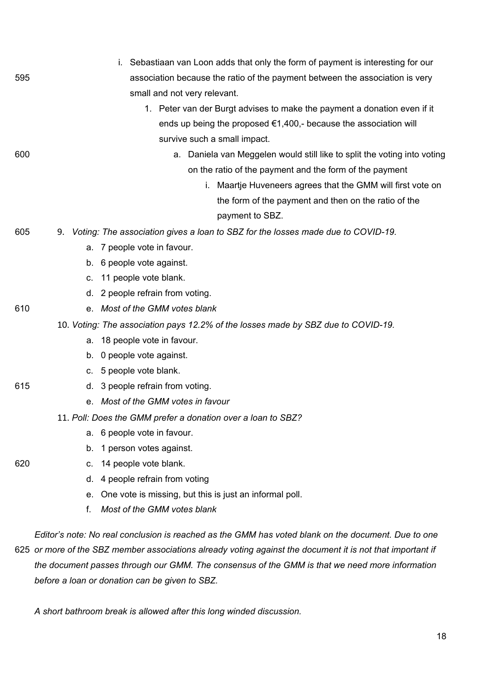|     | Sebastiaan van Loon adds that only the form of payment is interesting for our       |  |
|-----|-------------------------------------------------------------------------------------|--|
| 595 | association because the ratio of the payment between the association is very        |  |
|     | small and not very relevant.                                                        |  |
|     | 1. Peter van der Burgt advises to make the payment a donation even if it            |  |
|     | ends up being the proposed $\epsilon$ 1,400,- because the association will          |  |
|     | survive such a small impact.                                                        |  |
| 600 | a. Daniela van Meggelen would still like to split the voting into voting            |  |
|     | on the ratio of the payment and the form of the payment                             |  |
|     | i. Maartje Huveneers agrees that the GMM will first vote on                         |  |
|     | the form of the payment and then on the ratio of the                                |  |
|     | payment to SBZ.                                                                     |  |
| 605 | 9. Voting: The association gives a loan to SBZ for the losses made due to COVID-19. |  |
|     | a. 7 people vote in favour.                                                         |  |
|     | b. 6 people vote against.                                                           |  |
|     | c. 11 people vote blank.                                                            |  |
|     | d. 2 people refrain from voting.                                                    |  |
| 610 | e. Most of the GMM votes blank                                                      |  |
|     | 10. Voting: The association pays 12.2% of the losses made by SBZ due to COVID-19.   |  |
|     | a. 18 people vote in favour.                                                        |  |
|     | b. 0 people vote against.                                                           |  |
|     | c. 5 people vote blank.                                                             |  |
| 615 | d. 3 people refrain from voting.                                                    |  |
|     | e. Most of the GMM votes in favour                                                  |  |
|     | 11. Poll: Does the GMM prefer a donation over a loan to SBZ?                        |  |
|     | a. 6 people vote in favour.                                                         |  |
|     | b. 1 person votes against.                                                          |  |
| 620 | 14 people vote blank.<br>C.                                                         |  |
|     | 4 people refrain from voting<br>d.                                                  |  |
|     | One vote is missing, but this is just an informal poll.<br>е.                       |  |
|     | Most of the GMM votes blank<br>f.                                                   |  |

*Editor's note: No real conclusion is reached as the GMM has voted blank on the document. Due to one*  625 *or more of the SBZ member associations already voting against the document it is not that important if the document passes through our GMM. The consensus of the GMM is that we need more information before a loan or donation can be given to SBZ.*

*A short bathroom break is allowed after this long winded discussion.*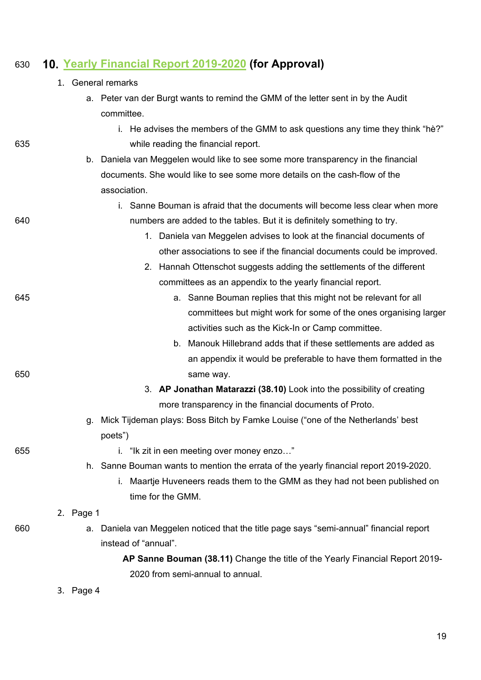# 630 **[Yearly Financial Report 2019-2020](https://wiki.proto.utwente.nl/_media/proto/gmmdocs/annual_financial_report_19_20.pdf) (for Approval)**

|     |           | 1. General remarks                                                                        |
|-----|-----------|-------------------------------------------------------------------------------------------|
|     |           | a. Peter van der Burgt wants to remind the GMM of the letter sent in by the Audit         |
|     |           | committee.                                                                                |
|     |           | i. He advises the members of the GMM to ask questions any time they think "hè?"           |
| 635 |           | while reading the financial report.                                                       |
|     |           | b. Daniela van Meggelen would like to see some more transparency in the financial         |
|     |           | documents. She would like to see some more details on the cash-flow of the                |
|     |           | association.                                                                              |
|     |           | i. Sanne Bouman is afraid that the documents will become less clear when more             |
| 640 |           | numbers are added to the tables. But it is definitely something to try.                   |
|     |           | 1. Daniela van Meggelen advises to look at the financial documents of                     |
|     |           | other associations to see if the financial documents could be improved.                   |
|     |           | 2. Hannah Ottenschot suggests adding the settlements of the different                     |
|     |           | committees as an appendix to the yearly financial report.                                 |
| 645 |           | a. Sanne Bouman replies that this might not be relevant for all                           |
|     |           | committees but might work for some of the ones organising larger                          |
|     |           | activities such as the Kick-In or Camp committee.                                         |
|     |           | Manouk Hillebrand adds that if these settlements are added as<br>b.                       |
|     |           | an appendix it would be preferable to have them formatted in the                          |
| 650 |           | same way.                                                                                 |
|     |           | 3. AP Jonathan Matarazzi (38.10) Look into the possibility of creating                    |
|     |           | more transparency in the financial documents of Proto.                                    |
|     | g.        | Mick Tijdeman plays: Boss Bitch by Famke Louise ("one of the Netherlands' best<br>poets") |
| 655 |           | i. "Ik zit in een meeting over money enzo"                                                |
|     |           | h. Sanne Bouman wants to mention the errata of the yearly financial report 2019-2020.     |
|     |           | i. Maartje Huveneers reads them to the GMM as they had not been published on              |
|     |           | time for the GMM.                                                                         |
|     | 2. Page 1 |                                                                                           |
| 660 |           | a. Daniela van Meggelen noticed that the title page says "semi-annual" financial report   |
|     |           | instead of "annual".                                                                      |
|     |           | AP Sanne Bouman (38.11) Change the title of the Yearly Financial Report 2019-             |
|     |           | 2020 from semi-annual to annual.                                                          |
|     | 3. Page 4 |                                                                                           |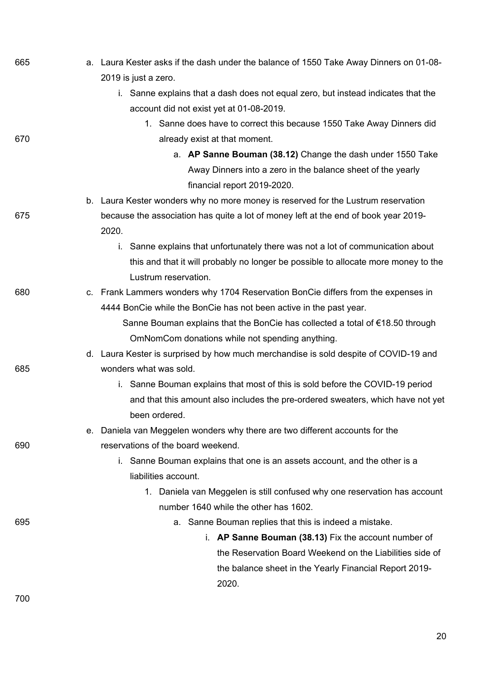| 665 | a. Laura Kester asks if the dash under the balance of 1550 Take Away Dinners on 01-08-  |
|-----|-----------------------------------------------------------------------------------------|
|     | 2019 is just a zero.                                                                    |
|     | i. Sanne explains that a dash does not equal zero, but instead indicates that the       |
|     | account did not exist yet at 01-08-2019.                                                |
|     | 1. Sanne does have to correct this because 1550 Take Away Dinners did                   |
| 670 | already exist at that moment.                                                           |
|     | a. AP Sanne Bouman (38.12) Change the dash under 1550 Take                              |
|     | Away Dinners into a zero in the balance sheet of the yearly                             |
|     | financial report 2019-2020.                                                             |
|     | b. Laura Kester wonders why no more money is reserved for the Lustrum reservation       |
| 675 | because the association has quite a lot of money left at the end of book year 2019-     |
|     | 2020.                                                                                   |
|     | Sanne explains that unfortunately there was not a lot of communication about<br>i.      |
|     | this and that it will probably no longer be possible to allocate more money to the      |
|     | Lustrum reservation.                                                                    |
| 680 | c. Frank Lammers wonders why 1704 Reservation BonCie differs from the expenses in       |
|     | 4444 BonCie while the BonCie has not been active in the past year.                      |
|     | Sanne Bouman explains that the BonCie has collected a total of $\epsilon$ 18.50 through |
|     | OmNomCom donations while not spending anything.                                         |
|     | d. Laura Kester is surprised by how much merchandise is sold despite of COVID-19 and    |
| 685 | wonders what was sold.                                                                  |
|     | i. Sanne Bouman explains that most of this is sold before the COVID-19 period           |
|     | and that this amount also includes the pre-ordered sweaters, which have not yet         |
|     | been ordered.                                                                           |
|     | e. Daniela van Meggelen wonders why there are two different accounts for the            |
| 690 | reservations of the board weekend.                                                      |
|     | i. Sanne Bouman explains that one is an assets account, and the other is a              |
|     | liabilities account.                                                                    |
|     | 1. Daniela van Meggelen is still confused why one reservation has account               |
|     | number 1640 while the other has 1602.                                                   |
| 695 | a. Sanne Bouman replies that this is indeed a mistake.                                  |
|     | i. AP Sanne Bouman (38.13) Fix the account number of                                    |
|     | the Reservation Board Weekend on the Liabilities side of                                |
|     | the balance sheet in the Yearly Financial Report 2019-                                  |
|     | 2020.                                                                                   |
| 700 |                                                                                         |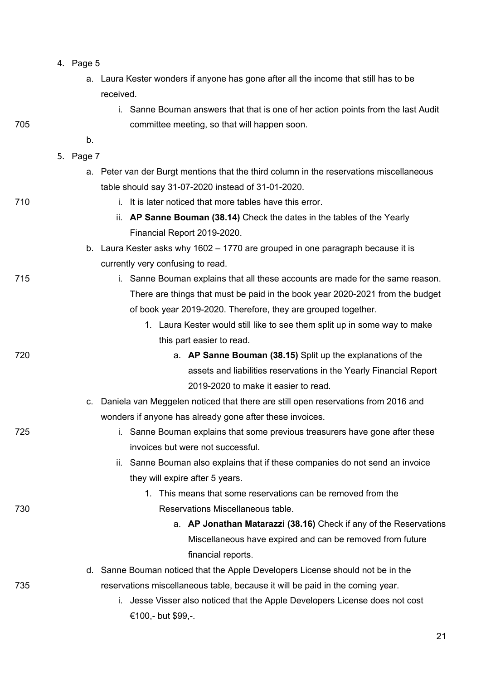| $-$ age $\cdots$ |  |
|------------------|--|
|------------------|--|

- a. Laura Kester wonders if anyone has gone after all the income that still has to be received.
- i. Sanne Bouman answers that that is one of her action points from the last Audit 705 committee meeting, so that will happen soon.
	- 5. Page 7

b.

- a. Peter van der Burgt mentions that the third column in the reservations miscellaneous table should say 31-07-2020 instead of 31-01-2020.
- 710 i. It is later noticed that more tables have this error.
	- ii. **AP Sanne Bouman (38.14)** Check the dates in the tables of the Yearly Financial Report 2019-2020.
	- b. Laura Kester asks why 1602 1770 are grouped in one paragraph because it is currently very confusing to read.
- 715 i. Sanne Bouman explains that all these accounts are made for the same reason. There are things that must be paid in the book year 2020-2021 from the budget of book year 2019-2020. Therefore, they are grouped together.
	- 1. Laura Kester would still like to see them split up in some way to make this part easier to read.
- 720 a. **AP Sanne Bouman (38.15)** Split up the explanations of the assets and liabilities reservations in the Yearly Financial Report 2019-2020 to make it easier to read.
	- c. Daniela van Meggelen noticed that there are still open reservations from 2016 and wonders if anyone has already gone after these invoices.
- 725 **i.** Sanne Bouman explains that some previous treasurers have gone after these invoices but were not successful.
	- ii. Sanne Bouman also explains that if these companies do not send an invoice they will expire after 5 years.
- 1. This means that some reservations can be removed from the 730 Reservations Miscellaneous table.
	- a. **AP Jonathan Matarazzi (38.16)** Check if any of the Reservations Miscellaneous have expired and can be removed from future financial reports.
- d. Sanne Bouman noticed that the Apple Developers License should not be in the 735 reservations miscellaneous table, because it will be paid in the coming year.
	- i. Jesse Visser also noticed that the Apple Developers License does not cost €100,- but \$99,-.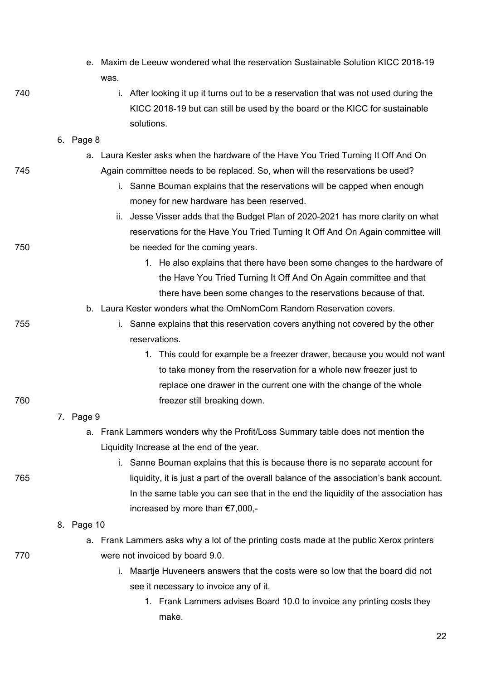| e. Maxim de Leeuw wondered what the reservation Sustainable Solution KICC 2018-19 |  |
|-----------------------------------------------------------------------------------|--|
| was.                                                                              |  |

740 i. After looking it up it turns out to be a reservation that was not used during the KICC 2018-19 but can still be used by the board or the KICC for sustainable solutions.

#### 6. Page 8

- a. Laura Kester asks when the hardware of the Have You Tried Turning It Off And On 745 Again committee needs to be replaced. So, when will the reservations be used?
	- i. Sanne Bouman explains that the reservations will be capped when enough money for new hardware has been reserved.
- ii. Jesse Visser adds that the Budget Plan of 2020-2021 has more clarity on what reservations for the Have You Tried Turning It Off And On Again committee will 750 be needed for the coming years.
	- 1. He also explains that there have been some changes to the hardware of the Have You Tried Turning It Off And On Again committee and that there have been some changes to the reservations because of that.
	- b. Laura Kester wonders what the OmNomCom Random Reservation covers.
- 
- 755 i. Sanne explains that this reservation covers anything not covered by the other reservations.
- 1. This could for example be a freezer drawer, because you would not want to take money from the reservation for a whole new freezer just to replace one drawer in the current one with the change of the whole 760 freezer still breaking down.

#### 7. Page 9

- a. Frank Lammers wonders why the Profit/Loss Summary table does not mention the Liquidity Increase at the end of the year.
- 
- i. Sanne Bouman explains that this is because there is no separate account for 765 liquidity, it is just a part of the overall balance of the association's bank account. In the same table you can see that in the end the liquidity of the association has increased by more than €7,000,-
	- 8. Page 10
- a. Frank Lammers asks why a lot of the printing costs made at the public Xerox printers 770 were not invoiced by board 9.0.
	- i. Maartje Huveneers answers that the costs were so low that the board did not see it necessary to invoice any of it.
		- 1. Frank Lammers advises Board 10.0 to invoice any printing costs they make.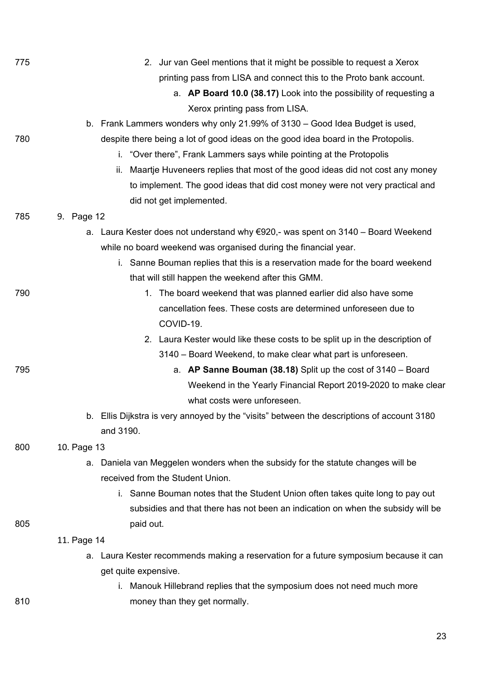| 775 | 2. Jur van Geel mentions that it might be possible to request a Xerox                      |
|-----|--------------------------------------------------------------------------------------------|
|     | printing pass from LISA and connect this to the Proto bank account.                        |
|     | a. AP Board 10.0 (38.17) Look into the possibility of requesting a                         |
|     | Xerox printing pass from LISA.                                                             |
|     | b. Frank Lammers wonders why only 21.99% of 3130 – Good Idea Budget is used,               |
| 780 | despite there being a lot of good ideas on the good idea board in the Protopolis.          |
|     | i. "Over there", Frank Lammers says while pointing at the Protopolis                       |
|     | Maartje Huveneers replies that most of the good ideas did not cost any money<br>ii.        |
|     | to implement. The good ideas that did cost money were not very practical and               |
|     | did not get implemented.                                                                   |
| 785 | 9. Page 12                                                                                 |
|     | a. Laura Kester does not understand why €920,- was spent on 3140 – Board Weekend           |
|     | while no board weekend was organised during the financial year.                            |
|     | i. Sanne Bouman replies that this is a reservation made for the board weekend              |
|     | that will still happen the weekend after this GMM.                                         |
| 790 | The board weekend that was planned earlier did also have some<br>1.                        |
|     | cancellation fees. These costs are determined unforeseen due to                            |
|     | COVID-19.                                                                                  |
|     | 2. Laura Kester would like these costs to be split up in the description of                |
|     | 3140 – Board Weekend, to make clear what part is unforeseen.                               |
| 795 | a. AP Sanne Bouman (38.18) Split up the cost of $3140 -$ Board                             |
|     | Weekend in the Yearly Financial Report 2019-2020 to make clear                             |
|     | what costs were unforeseen.                                                                |
|     | b. Ellis Dijkstra is very annoyed by the "visits" between the descriptions of account 3180 |
|     | and 3190.                                                                                  |
| 800 | 10. Page 13                                                                                |
|     | Daniela van Meggelen wonders when the subsidy for the statute changes will be<br>a.        |
|     | received from the Student Union.                                                           |
|     | i. Sanne Bouman notes that the Student Union often takes quite long to pay out             |
|     | subsidies and that there has not been an indication on when the subsidy will be            |
| 805 | paid out.                                                                                  |
|     | 11. Page 14                                                                                |
|     | a. Laura Kester recommends making a reservation for a future symposium because it can      |
|     | get quite expensive.                                                                       |
|     | i. Manouk Hillebrand replies that the symposium does not need much more                    |
| 810 | money than they get normally.                                                              |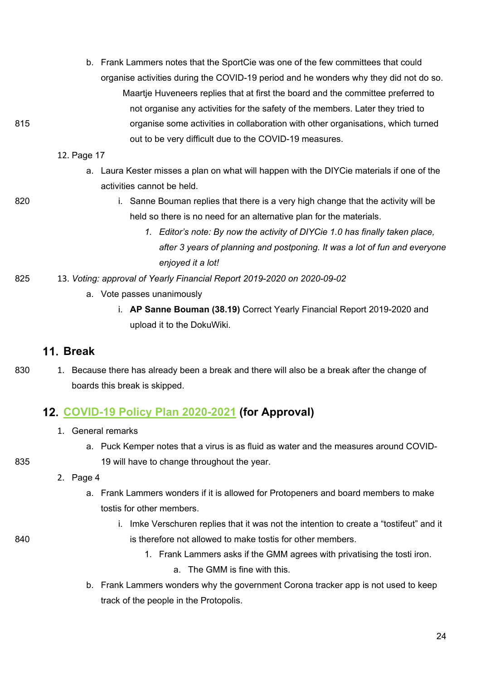- b. Frank Lammers notes that the SportCie was one of the few committees that could organise activities during the COVID-19 period and he wonders why they did not do so. Maartje Huveneers replies that at first the board and the committee preferred to not organise any activities for the safety of the members. Later they tried to 815 organise some activities in collaboration with other organisations, which turned out to be very difficult due to the COVID-19 measures.
	- 12. Page 17
		- a. Laura Kester misses a plan on what will happen with the DIYCie materials if one of the activities cannot be held.
- 

820 **i.** Sanne Bouman replies that there is a very high change that the activity will be held so there is no need for an alternative plan for the materials.

- *1. Editor's note: By now the activity of DIYCie 1.0 has finally taken place, after 3 years of planning and postponing. It was a lot of fun and everyone enjoyed it a lot!*
- 825 13. *Voting: approval of Yearly Financial Report 2019-2020 on 2020-09-02*
	- a. Vote passes unanimously
		- i. **AP Sanne Bouman (38.19)** Correct Yearly Financial Report 2019-2020 and upload it to the DokuWiki.

### **Break**

830 1. Because there has already been a break and there will also be a break after the change of boards this break is skipped.

## **[COVID-19 Policy Plan 2020-2021](https://wiki.proto.utwente.nl/_media/proto/gmmdocs/covid19_policy_plan_2020-2021.pdf) (for Approval)**

- 1. General remarks
- a. Puck Kemper notes that a virus is as fluid as water and the measures around COVID-835 19 will have to change throughout the year.
	- 2. Page 4
		- a. Frank Lammers wonders if it is allowed for Protopeners and board members to make tostis for other members.
- i. Imke Verschuren replies that it was not the intention to create a "tostifeut" and it 840 is therefore not allowed to make tostis for other members.
	- 1. Frank Lammers asks if the GMM agrees with privatising the tosti iron. a. The GMM is fine with this.
	- b. Frank Lammers wonders why the government Corona tracker app is not used to keep track of the people in the Protopolis.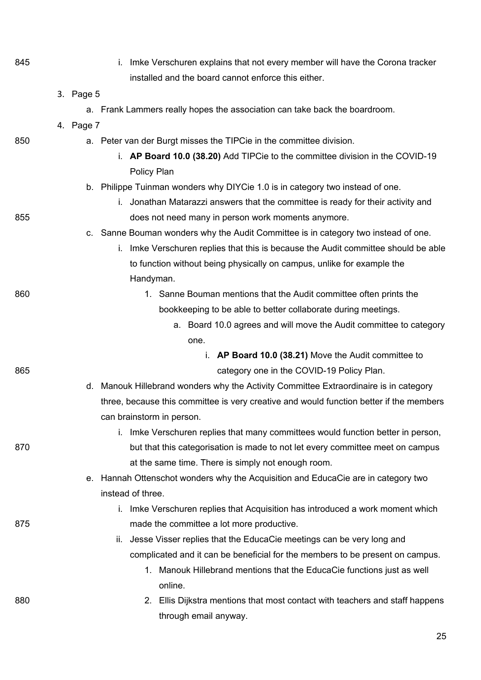| 845 | i. Imke Verschuren explains that not every member will have the Corona tracker                        |
|-----|-------------------------------------------------------------------------------------------------------|
|     | installed and the board cannot enforce this either.                                                   |
|     | 3. Page 5                                                                                             |
|     | a. Frank Lammers really hopes the association can take back the boardroom.                            |
|     | 4. Page 7                                                                                             |
| 850 | a. Peter van der Burgt misses the TIPCie in the committee division.                                   |
|     | i. AP Board 10.0 (38.20) Add TIPCie to the committee division in the COVID-19                         |
|     | Policy Plan<br>b. Philippe Tuinman wonders why DIYCie 1.0 is in category two instead of one.          |
|     | i. Jonathan Matarazzi answers that the committee is ready for their activity and                      |
| 855 | does not need many in person work moments anymore.                                                    |
|     | c. Sanne Bouman wonders why the Audit Committee is in category two instead of one.                    |
|     | i. Imke Verschuren replies that this is because the Audit committee should be able                    |
|     | to function without being physically on campus, unlike for example the                                |
|     | Handyman.                                                                                             |
| 860 | 1. Sanne Bouman mentions that the Audit committee often prints the                                    |
|     | bookkeeping to be able to better collaborate during meetings.                                         |
|     | a. Board 10.0 agrees and will move the Audit committee to category                                    |
|     | one.                                                                                                  |
|     | i. AP Board 10.0 (38.21) Move the Audit committee to                                                  |
| 865 | category one in the COVID-19 Policy Plan.                                                             |
|     | d. Manouk Hillebrand wonders why the Activity Committee Extraordinaire is in category                 |
|     | three, because this committee is very creative and would function better if the members               |
|     | can brainstorm in person.                                                                             |
|     | Imke Verschuren replies that many committees would function better in person,<br>İ.                   |
| 870 | but that this categorisation is made to not let every committee meet on campus                        |
|     | at the same time. There is simply not enough room.                                                    |
|     | e. Hannah Ottenschot wonders why the Acquisition and EducaCie are in category two                     |
|     | instead of three.                                                                                     |
|     | i. Imke Verschuren replies that Acquisition has introduced a work moment which                        |
| 875 | made the committee a lot more productive.                                                             |
|     | ii. Jesse Visser replies that the EducaCie meetings can be very long and                              |
|     | complicated and it can be beneficial for the members to be present on campus.                         |
|     | 1. Manouk Hillebrand mentions that the EducaCie functions just as well                                |
|     | online.                                                                                               |
| 880 | 2. Ellis Dijkstra mentions that most contact with teachers and staff happens<br>through email anyway. |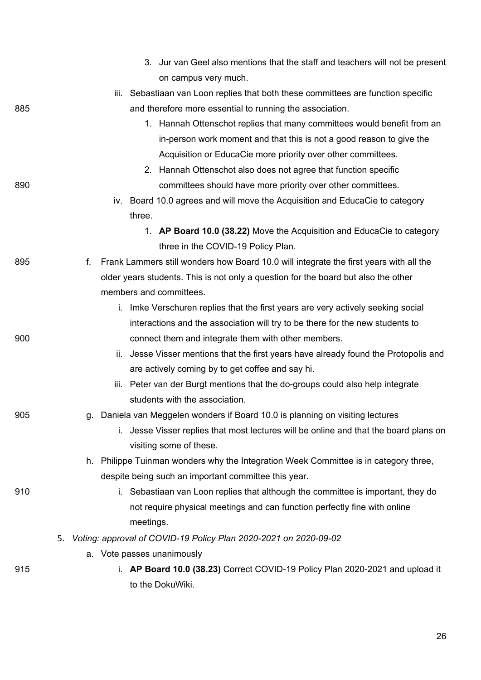|     |     | 3. Jur van Geel also mentions that the staff and teachers will not be present          |
|-----|-----|----------------------------------------------------------------------------------------|
|     |     | on campus very much.                                                                   |
|     |     | iii. Sebastiaan van Loon replies that both these committees are function specific      |
| 885 |     | and therefore more essential to running the association.                               |
|     |     | 1. Hannah Ottenschot replies that many committees would benefit from an                |
|     |     | in-person work moment and that this is not a good reason to give the                   |
|     |     | Acquisition or EducaCie more priority over other committees.                           |
|     |     | 2. Hannah Ottenschot also does not agree that function specific                        |
| 890 |     | committees should have more priority over other committees.                            |
|     |     | iv. Board 10.0 agrees and will move the Acquisition and EducaCie to category           |
|     |     | three.                                                                                 |
|     |     | 1. AP Board 10.0 (38.22) Move the Acquisition and EducaCie to category                 |
|     |     | three in the COVID-19 Policy Plan.                                                     |
| 895 | f.  | Frank Lammers still wonders how Board 10.0 will integrate the first years with all the |
|     |     | older years students. This is not only a question for the board but also the other     |
|     |     | members and committees.                                                                |
|     |     | i. Imke Verschuren replies that the first years are very actively seeking social       |
|     |     | interactions and the association will try to be there for the new students to          |
| 900 |     | connect them and integrate them with other members.                                    |
|     | ii. | Jesse Visser mentions that the first years have already found the Protopolis and       |
|     |     | are actively coming by to get coffee and say hi.                                       |
|     |     | iii. Peter van der Burgt mentions that the do-groups could also help integrate         |
|     |     | students with the association.                                                         |
| 905 |     | g. Daniela van Meggelen wonders if Board 10.0 is planning on visiting lectures         |
|     |     | Jesse Visser replies that most lectures will be online and that the board plans on     |
|     |     | visiting some of these.                                                                |
|     |     | h. Philippe Tuinman wonders why the Integration Week Committee is in category three,   |
|     |     | despite being such an important committee this year.                                   |
| 910 |     | i. Sebastiaan van Loon replies that although the committee is important, they do       |
|     |     | not require physical meetings and can function perfectly fine with online              |
|     |     | meetings.                                                                              |
|     |     | 5. Voting: approval of COVID-19 Policy Plan 2020-2021 on 2020-09-02                    |
|     |     | a. Vote passes unanimously                                                             |
| 915 |     | i. AP Board 10.0 (38.23) Correct COVID-19 Policy Plan 2020-2021 and upload it          |
|     |     | to the DokuWiki.                                                                       |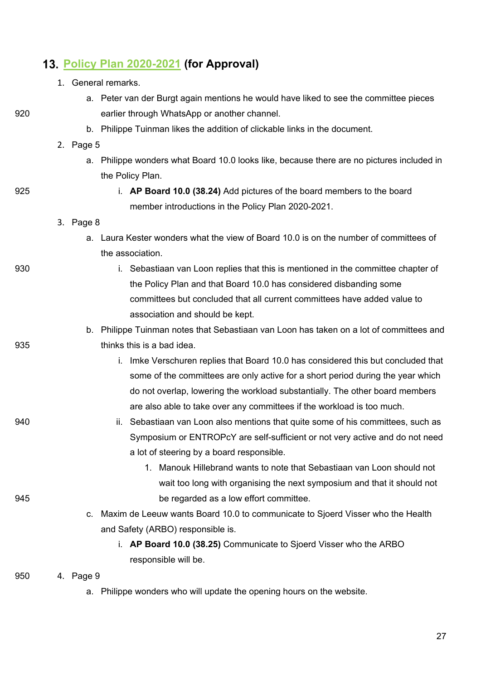# **[Policy Plan 2020-2021](https://wiki.proto.utwente.nl/_media/proto/gmmdocs/policy_plan_2020-2021.pdf) (for Approval)**

|     | 1. General remarks.                                                                       |
|-----|-------------------------------------------------------------------------------------------|
|     | a. Peter van der Burgt again mentions he would have liked to see the committee pieces     |
| 920 | earlier through WhatsApp or another channel.                                              |
|     | b. Philippe Tuinman likes the addition of clickable links in the document.                |
|     | 2. Page $5$                                                                               |
|     | a. Philippe wonders what Board 10.0 looks like, because there are no pictures included in |
|     | the Policy Plan.                                                                          |
| 925 | i. AP Board 10.0 (38.24) Add pictures of the board members to the board                   |
|     | member introductions in the Policy Plan 2020-2021.                                        |
|     | 3. Page 8                                                                                 |
|     | a. Laura Kester wonders what the view of Board 10.0 is on the number of committees of     |
|     | the association.                                                                          |
| 930 | i. Sebastiaan van Loon replies that this is mentioned in the committee chapter of         |
|     | the Policy Plan and that Board 10.0 has considered disbanding some                        |
|     | committees but concluded that all current committees have added value to                  |
|     | association and should be kept.                                                           |
|     | b. Philippe Tuinman notes that Sebastiaan van Loon has taken on a lot of committees and   |
| 935 | thinks this is a bad idea.                                                                |
|     | Imke Verschuren replies that Board 10.0 has considered this but concluded that<br>i.      |
|     | some of the committees are only active for a short period during the year which           |
|     | do not overlap, lowering the workload substantially. The other board members              |
|     | are also able to take over any committees if the workload is too much.                    |
| 940 | ii. Sebastiaan van Loon also mentions that quite some of his committees, such as          |
|     | Symposium or ENTROPcY are self-sufficient or not very active and do not need              |
|     | a lot of steering by a board responsible.                                                 |
|     | 1. Manouk Hillebrand wants to note that Sebastiaan van Loon should not                    |
|     | wait too long with organising the next symposium and that it should not                   |
| 945 | be regarded as a low effort committee.                                                    |
|     | Maxim de Leeuw wants Board 10.0 to communicate to Sjoerd Visser who the Health<br>C.      |
|     | and Safety (ARBO) responsible is.                                                         |
|     | i. AP Board 10.0 (38.25) Communicate to Sjoerd Visser who the ARBO                        |
|     | responsible will be.                                                                      |
|     |                                                                                           |

- 950 4. Page 9
	- a. Philippe wonders who will update the opening hours on the website.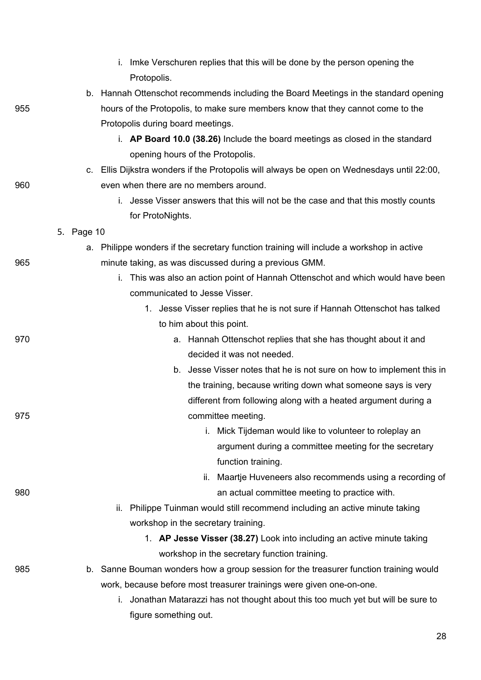|     |            | Imke Verschuren replies that this will be done by the person opening the<br>i.<br>Protopolis. |
|-----|------------|-----------------------------------------------------------------------------------------------|
|     |            | b. Hannah Ottenschot recommends including the Board Meetings in the standard opening          |
| 955 |            | hours of the Protopolis, to make sure members know that they cannot come to the               |
|     |            | Protopolis during board meetings.                                                             |
|     |            | i. AP Board 10.0 (38.26) Include the board meetings as closed in the standard                 |
|     |            | opening hours of the Protopolis.                                                              |
|     |            | c. Ellis Dijkstra wonders if the Protopolis will always be open on Wednesdays until 22:00,    |
| 960 |            | even when there are no members around.                                                        |
|     |            | i. Jesse Visser answers that this will not be the case and that this mostly counts            |
|     |            | for ProtoNights.                                                                              |
|     | 5. Page 10 |                                                                                               |
|     |            | a. Philippe wonders if the secretary function training will include a workshop in active      |
| 965 |            | minute taking, as was discussed during a previous GMM.                                        |
|     |            | This was also an action point of Hannah Ottenschot and which would have been<br>İ.            |
|     |            | communicated to Jesse Visser.                                                                 |
|     |            | 1. Jesse Visser replies that he is not sure if Hannah Ottenschot has talked                   |
|     |            | to him about this point.                                                                      |
| 970 |            | a. Hannah Ottenschot replies that she has thought about it and                                |
|     |            | decided it was not needed.                                                                    |
|     |            | b. Jesse Visser notes that he is not sure on how to implement this in                         |
|     |            | the training, because writing down what someone says is very                                  |
| 975 |            | different from following along with a heated argument during a<br>committee meeting.          |
|     |            | i.<br>Mick Tijdeman would like to volunteer to roleplay an                                    |
|     |            | argument during a committee meeting for the secretary                                         |
|     |            | function training.                                                                            |
|     |            | Maartje Huveneers also recommends using a recording of<br>ii.                                 |
| 980 |            | an actual committee meeting to practice with.                                                 |
|     |            | Philippe Tuinman would still recommend including an active minute taking<br>ii.               |
|     |            | workshop in the secretary training.                                                           |
|     |            | 1. AP Jesse Visser (38.27) Look into including an active minute taking                        |
|     |            | workshop in the secretary function training.                                                  |
| 985 |            | b. Sanne Bouman wonders how a group session for the treasurer function training would         |
|     |            | work, because before most treasurer trainings were given one-on-one.                          |
|     |            | Jonathan Matarazzi has not thought about this too much yet but will be sure to<br>Ĺ.          |
|     |            | figure something out.                                                                         |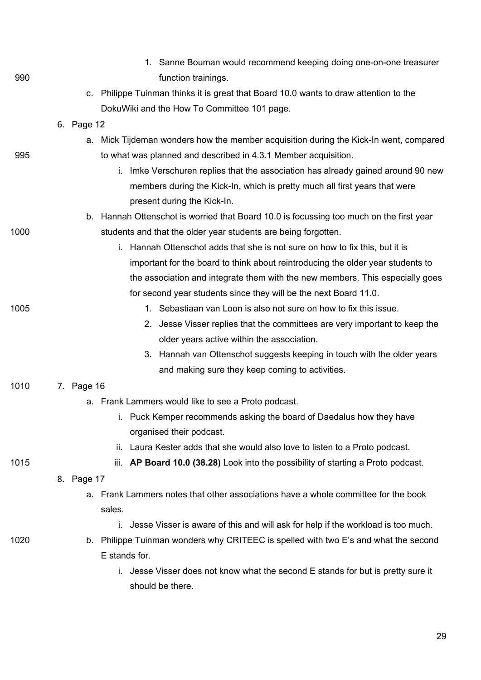|      | 1. Sanne Bouman would recommend keeping doing one-on-one treasurer                      |
|------|-----------------------------------------------------------------------------------------|
| 990  | function trainings.                                                                     |
|      | c. Philippe Tuinman thinks it is great that Board 10.0 wants to draw attention to the   |
|      | DokuWiki and the How To Committee 101 page.                                             |
|      | 6. Page 12                                                                              |
|      | a. Mick Tijdeman wonders how the member acquisition during the Kick-In went, compared   |
| 995  | to what was planned and described in 4.3.1 Member acquisition.                          |
|      | i. Imke Verschuren replies that the association has already gained around 90 new        |
|      | members during the Kick-In, which is pretty much all first years that were              |
|      | present during the Kick-In.                                                             |
|      | b. Hannah Ottenschot is worried that Board 10.0 is focussing too much on the first year |
| 1000 | students and that the older year students are being forgotten.                          |
|      | i. Hannah Ottenschot adds that she is not sure on how to fix this, but it is            |
|      | important for the board to think about reintroducing the older year students to         |
|      | the association and integrate them with the new members. This especially goes           |
|      | for second year students since they will be the next Board 11.0.                        |
| 1005 | 1. Sebastiaan van Loon is also not sure on how to fix this issue.                       |
|      | Jesse Visser replies that the committees are very important to keep the<br>2.           |
|      | older years active within the association.                                              |
|      | 3. Hannah van Ottenschot suggests keeping in touch with the older years                 |
|      | and making sure they keep coming to activities.                                         |
| 1010 | 7. Page 16                                                                              |
|      | a. Frank Lammers would like to see a Proto podcast.                                     |
|      | i. Puck Kemper recommends asking the board of Daedalus how they have                    |
|      | organised their podcast.                                                                |
|      | ii. Laura Kester adds that she would also love to listen to a Proto podcast.            |
| 1015 | iii. AP Board 10.0 (38.28) Look into the possibility of starting a Proto podcast.       |
|      | 8. Page 17                                                                              |
|      | a. Frank Lammers notes that other associations have a whole committee for the book      |
|      | sales.                                                                                  |
|      | i. Jesse Visser is aware of this and will ask for help if the workload is too much.     |
| 1020 | b. Philippe Tuinman wonders why CRITEEC is spelled with two E's and what the second     |
|      | E stands for.                                                                           |
|      | Jesse Visser does not know what the second E stands for but is pretty sure it           |
|      | should be there.                                                                        |
|      |                                                                                         |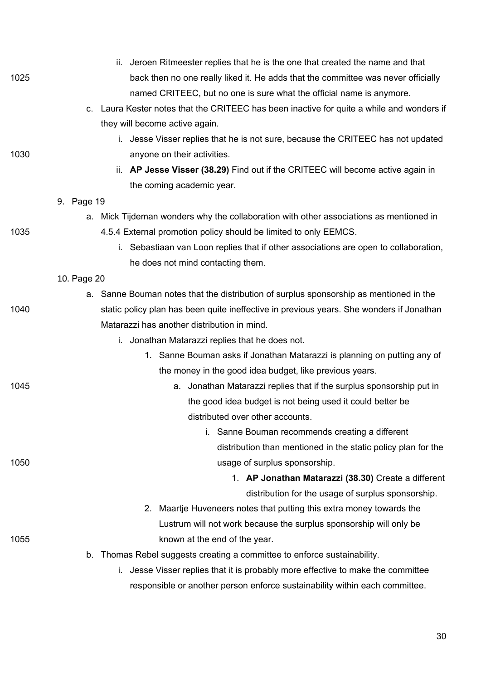|      | ii. Jeroen Ritmeester replies that he is the one that created the name and that           |
|------|-------------------------------------------------------------------------------------------|
| 1025 | back then no one really liked it. He adds that the committee was never officially         |
|      | named CRITEEC, but no one is sure what the official name is anymore.                      |
|      | c. Laura Kester notes that the CRITEEC has been inactive for quite a while and wonders if |
|      | they will become active again.                                                            |
|      | i. Jesse Visser replies that he is not sure, because the CRITEEC has not updated          |
| 1030 | anyone on their activities.                                                               |
|      | ii. AP Jesse Visser (38.29) Find out if the CRITEEC will become active again in           |
|      | the coming academic year.                                                                 |
|      | 9. Page 19                                                                                |
|      | a. Mick Tijdeman wonders why the collaboration with other associations as mentioned in    |
| 1035 | 4.5.4 External promotion policy should be limited to only EEMCS.                          |
|      | i. Sebastiaan van Loon replies that if other associations are open to collaboration,      |
|      | he does not mind contacting them.                                                         |
|      | 10. Page 20                                                                               |
|      | a. Sanne Bouman notes that the distribution of surplus sponsorship as mentioned in the    |
| 1040 | static policy plan has been quite ineffective in previous years. She wonders if Jonathan  |
|      | Matarazzi has another distribution in mind.                                               |
|      | i. Jonathan Matarazzi replies that he does not.                                           |
|      | 1. Sanne Bouman asks if Jonathan Matarazzi is planning on putting any of                  |
|      | the money in the good idea budget, like previous years.                                   |
| 1045 | a. Jonathan Matarazzi replies that if the surplus sponsorship put in                      |
|      | the good idea budget is not being used it could better be                                 |
|      | distributed over other accounts.                                                          |
|      | i. Sanne Bouman recommends creating a different                                           |
|      | distribution than mentioned in the static policy plan for the                             |
| 1050 | usage of surplus sponsorship.                                                             |
|      | 1. AP Jonathan Matarazzi (38.30) Create a different                                       |
|      | distribution for the usage of surplus sponsorship.                                        |
|      | 2. Maartje Huveneers notes that putting this extra money towards the                      |
|      | Lustrum will not work because the surplus sponsorship will only be                        |
| 1055 | known at the end of the year.                                                             |
|      | b. Thomas Rebel suggests creating a committee to enforce sustainability.                  |
|      | Jesse Visser replies that it is probably more effective to make the committee<br>İ.       |
|      | responsible or another person enforce sustainability within each committee.               |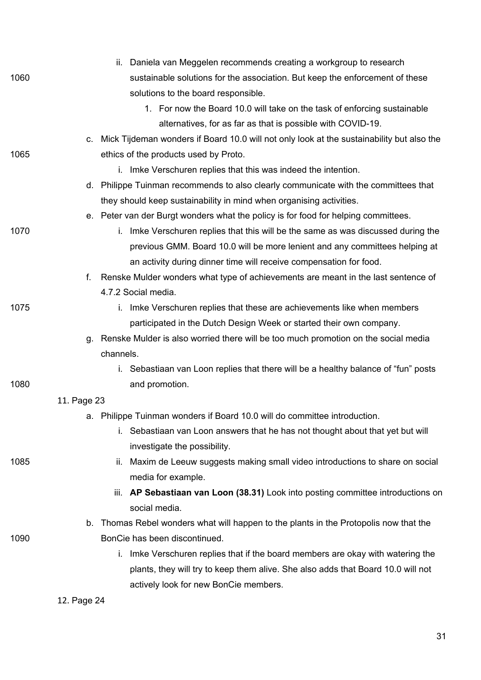|      |             | ii. Daniela van Meggelen recommends creating a workgroup to research                      |
|------|-------------|-------------------------------------------------------------------------------------------|
| 1060 |             | sustainable solutions for the association. But keep the enforcement of these              |
|      |             | solutions to the board responsible.                                                       |
|      |             | 1. For now the Board 10.0 will take on the task of enforcing sustainable                  |
|      |             | alternatives, for as far as that is possible with COVID-19.                               |
|      | C.          | Mick Tijdeman wonders if Board 10.0 will not only look at the sustainability but also the |
| 1065 |             | ethics of the products used by Proto.                                                     |
|      |             | i. Imke Verschuren replies that this was indeed the intention.                            |
|      |             | d. Philippe Tuinman recommends to also clearly communicate with the committees that       |
|      |             | they should keep sustainability in mind when organising activities.                       |
|      |             | e. Peter van der Burgt wonders what the policy is for food for helping committees.        |
| 1070 |             | i. Imke Verschuren replies that this will be the same as was discussed during the         |
|      |             | previous GMM. Board 10.0 will be more lenient and any committees helping at               |
|      |             | an activity during dinner time will receive compensation for food.                        |
|      | f.          | Renske Mulder wonders what type of achievements are meant in the last sentence of         |
|      |             | 4.7.2 Social media.                                                                       |
| 1075 |             | i. Imke Verschuren replies that these are achievements like when members                  |
|      |             | participated in the Dutch Design Week or started their own company.                       |
|      |             | g. Renske Mulder is also worried there will be too much promotion on the social media     |
|      |             | channels.                                                                                 |
|      |             | i. Sebastiaan van Loon replies that there will be a healthy balance of "fun" posts        |
| 1080 |             | and promotion.                                                                            |
|      | 11. Page 23 |                                                                                           |
|      |             | a. Philippe Tuinman wonders if Board 10.0 will do committee introduction.                 |
|      |             | i. Sebastiaan van Loon answers that he has not thought about that yet but will            |
|      |             | investigate the possibility.                                                              |
| 1085 |             | ii. Maxim de Leeuw suggests making small video introductions to share on social           |
|      |             | media for example.                                                                        |
|      |             | AP Sebastiaan van Loon (38.31) Look into posting committee introductions on<br>Ш.         |
|      |             | social media.                                                                             |
|      | b.          | Thomas Rebel wonders what will happen to the plants in the Protopolis now that the        |
| 1090 |             | BonCie has been discontinued.                                                             |
|      |             | i. Imke Verschuren replies that if the board members are okay with watering the           |
|      |             | plants, they will try to keep them alive. She also adds that Board 10.0 will not          |
|      |             | actively look for new BonCie members.                                                     |

12. Page 24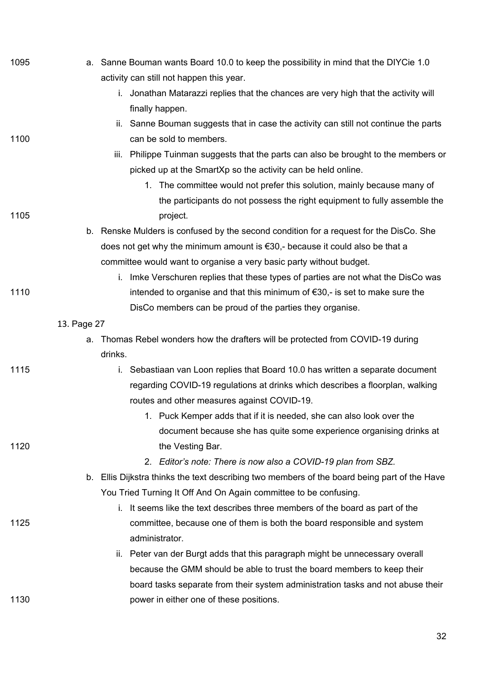| 1095 | a. Sanne Bouman wants Board 10.0 to keep the possibility in mind that the DIYCie 1.0         |
|------|----------------------------------------------------------------------------------------------|
|      | activity can still not happen this year.                                                     |
|      | i. Jonathan Matarazzi replies that the chances are very high that the activity will          |
|      | finally happen.                                                                              |
|      | ii. Sanne Bouman suggests that in case the activity can still not continue the parts         |
| 1100 | can be sold to members.                                                                      |
|      | iii. Philippe Tuinman suggests that the parts can also be brought to the members or          |
|      | picked up at the SmartXp so the activity can be held online.                                 |
|      | 1. The committee would not prefer this solution, mainly because many of                      |
|      | the participants do not possess the right equipment to fully assemble the                    |
| 1105 | project.                                                                                     |
|      | b. Renske Mulders is confused by the second condition for a request for the DisCo. She       |
|      | does not get why the minimum amount is $\epsilon$ 30,- because it could also be that a       |
|      | committee would want to organise a very basic party without budget.                          |
|      | i. Imke Verschuren replies that these types of parties are not what the DisCo was            |
| 1110 | intended to organise and that this minimum of €30,- is set to make sure the                  |
|      | DisCo members can be proud of the parties they organise.                                     |
|      | 13. Page 27                                                                                  |
|      | Thomas Rebel wonders how the drafters will be protected from COVID-19 during<br>a.           |
|      | drinks.                                                                                      |
| 1115 | i. Sebastiaan van Loon replies that Board 10.0 has written a separate document               |
|      | regarding COVID-19 regulations at drinks which describes a floorplan, walking                |
|      | routes and other measures against COVID-19.                                                  |
|      | 1. Puck Kemper adds that if it is needed, she can also look over the                         |
|      | document because she has quite some experience organising drinks at                          |
| 1120 | the Vesting Bar.                                                                             |
|      | 2. Editor's note: There is now also a COVID-19 plan from SBZ.                                |
|      | b. Ellis Dijkstra thinks the text describing two members of the board being part of the Have |
|      | You Tried Turning It Off And On Again committee to be confusing.                             |
|      | i. It seems like the text describes three members of the board as part of the                |
| 1125 | committee, because one of them is both the board responsible and system<br>administrator.    |
|      | ii. Peter van der Burgt adds that this paragraph might be unnecessary overall                |
|      | because the GMM should be able to trust the board members to keep their                      |
|      | board tasks separate from their system administration tasks and not abuse their              |
| 1130 | power in either one of these positions.                                                      |
|      |                                                                                              |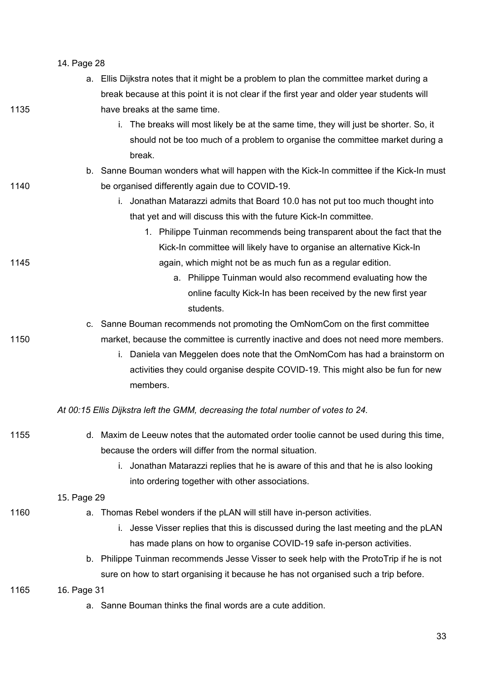|      | 14. Page 28                                                                                 |  |  |
|------|---------------------------------------------------------------------------------------------|--|--|
|      | Ellis Dijkstra notes that it might be a problem to plan the committee market during a<br>а. |  |  |
|      | break because at this point it is not clear if the first year and older year students will  |  |  |
| 1135 | have breaks at the same time.                                                               |  |  |
|      | The breaks will most likely be at the same time, they will just be shorter. So, it<br>i.    |  |  |
|      | should not be too much of a problem to organise the committee market during a               |  |  |
|      | break.                                                                                      |  |  |
|      | b. Sanne Bouman wonders what will happen with the Kick-In committee if the Kick-In must     |  |  |
| 1140 | be organised differently again due to COVID-19.                                             |  |  |
|      | i. Jonathan Matarazzi admits that Board 10.0 has not put too much thought into              |  |  |
|      | that yet and will discuss this with the future Kick-In committee.                           |  |  |
|      | 1. Philippe Tuinman recommends being transparent about the fact that the                    |  |  |
|      | Kick-In committee will likely have to organise an alternative Kick-In                       |  |  |
| 1145 | again, which might not be as much fun as a regular edition.                                 |  |  |
|      | a. Philippe Tuinman would also recommend evaluating how the                                 |  |  |
|      | online faculty Kick-In has been received by the new first year                              |  |  |
|      | students.                                                                                   |  |  |
|      | Sanne Bouman recommends not promoting the OmNomCom on the first committee<br>C.             |  |  |
| 1150 | market, because the committee is currently inactive and does not need more members.         |  |  |
|      | Daniela van Meggelen does note that the OmNomCom has had a brainstorm on<br>i.              |  |  |
|      | activities they could organise despite COVID-19. This might also be fun for new             |  |  |
|      | members.                                                                                    |  |  |
|      | At 00:15 Ellis Dijkstra left the GMM, decreasing the total number of votes to 24.           |  |  |
| 1155 | d. Maxim de Leeuw notes that the automated order toolie cannot be used during this time,    |  |  |
|      | because the orders will differ from the normal situation.                                   |  |  |
|      | Jonathan Matarazzi replies that he is aware of this and that he is also looking<br>İ.       |  |  |
|      | into ordering together with other associations.                                             |  |  |
|      | 15. Page 29                                                                                 |  |  |
| 1160 | Thomas Rebel wonders if the pLAN will still have in-person activities.<br>а.                |  |  |
|      | Jesse Visser replies that this is discussed during the last meeting and the pLAN<br>İ.      |  |  |
|      | has made plans on how to organise COVID-19 safe in-person activities.                       |  |  |
|      | b. Philippe Tuinman recommends Jesse Visser to seek help with the ProtoTrip if he is not    |  |  |
|      | sure on how to start organising it because he has not organised such a trip before.         |  |  |
| 1165 | 16. Page 31                                                                                 |  |  |
|      | a. Sanne Bouman thinks the final words are a cute addition.                                 |  |  |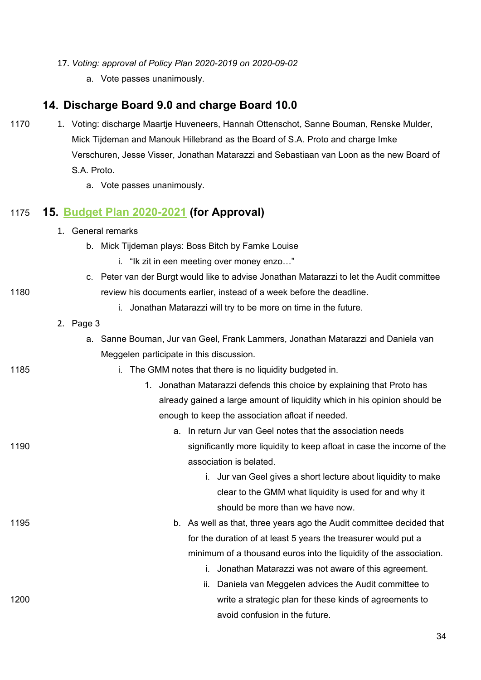- 17. *Voting: approval of Policy Plan 2020-2019 on 2020-09-02*
	- a. Vote passes unanimously.

## **Discharge Board 9.0 and charge Board 10.0**

- 1170 1. Voting: discharge Maartje Huveneers, Hannah Ottenschot, Sanne Bouman, Renske Mulder, Mick Tijdeman and Manouk Hillebrand as the Board of S.A. Proto and charge Imke Verschuren, Jesse Visser, Jonathan Matarazzi and Sebastiaan van Loon as the new Board of S.A. Proto.
	- a. Vote passes unanimously.

## 1175 **[Budget Plan 2020-2021](https://wiki.proto.utwente.nl/_media/proto/gmmdocs/budget_plan_2020-2021_1_.pdf) (for Approval)**

- 1. General remarks
	- b. Mick Tijdeman plays: Boss Bitch by Famke Louise
		- i. "Ik zit in een meeting over money enzo…"
- c. Peter van der Burgt would like to advise Jonathan Matarazzi to let the Audit committee 1180 **review his documents earlier, instead of a week before the deadline.** 
	- i. Jonathan Matarazzi will try to be more on time in the future.
	- 2. Page 3

| a. Sanne Bouman, Jur van Geel, Frank Lammers, Jonathan Matarazzi and Daniela van |
|----------------------------------------------------------------------------------|
| Meggelen participate in this discussion.                                         |

#### 1185 i. The GMM notes that there is no liquidity budgeted in.

- 1. Jonathan Matarazzi defends this choice by explaining that Proto has already gained a large amount of liquidity which in his opinion should be enough to keep the association afloat if needed.
- a. In return Jur van Geel notes that the association needs 1190 significantly more liquidity to keep afloat in case the income of the association is belated.
	- i. Jur van Geel gives a short lecture about liquidity to make clear to the GMM what liquidity is used for and why it should be more than we have now.
- 1195 b. As well as that, three years ago the Audit committee decided that for the duration of at least 5 years the treasurer would put a minimum of a thousand euros into the liquidity of the association. i. Jonathan Matarazzi was not aware of this agreement.
- ii. Daniela van Meggelen advices the Audit committee to 1200 write a strategic plan for these kinds of agreements to

avoid confusion in the future.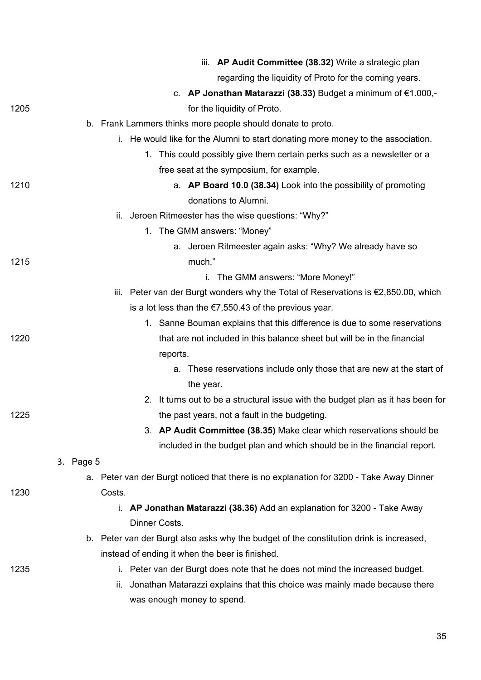|      | iii. AP Audit Committee (38.32) Write a strategic plan                                  |
|------|-----------------------------------------------------------------------------------------|
|      | regarding the liquidity of Proto for the coming years.                                  |
|      | c. AP Jonathan Matarazzi (38.33) Budget a minimum of $€1.000, -$                        |
| 1205 | for the liquidity of Proto.                                                             |
|      | b. Frank Lammers thinks more people should donate to proto.                             |
|      | i. He would like for the Alumni to start donating more money to the association.        |
|      | 1. This could possibly give them certain perks such as a newsletter or a                |
|      | free seat at the symposium, for example.                                                |
| 1210 | a. AP Board 10.0 (38.34) Look into the possibility of promoting                         |
|      | donations to Alumni.                                                                    |
|      | Jeroen Ritmeester has the wise questions: "Why?"<br>Ш.                                  |
|      | 1. The GMM answers: "Money"                                                             |
|      | a. Jeroen Ritmeester again asks: "Why? We already have so                               |
| 1215 | much."                                                                                  |
|      | i. The GMM answers: "More Money!"                                                       |
|      | iii. Peter van der Burgt wonders why the Total of Reservations is €2,850.00, which      |
|      | is a lot less than the $\epsilon$ 7,550.43 of the previous year.                        |
|      | 1. Sanne Bouman explains that this difference is due to some reservations               |
| 1220 | that are not included in this balance sheet but will be in the financial                |
|      | reports.                                                                                |
|      | a. These reservations include only those that are new at the start of                   |
|      | the year.                                                                               |
|      | 2. It turns out to be a structural issue with the budget plan as it has been for        |
| 1225 | the past years, not a fault in the budgeting.                                           |
|      | 3. AP Audit Committee (38.35) Make clear which reservations should be                   |
|      | included in the budget plan and which should be in the financial report.                |
|      | 3. Page 5                                                                               |
|      | a. Peter van der Burgt noticed that there is no explanation for 3200 - Take Away Dinner |
| 1230 | Costs.                                                                                  |
|      | i. AP Jonathan Matarazzi (38.36) Add an explanation for 3200 - Take Away                |
|      | Dinner Costs.                                                                           |
|      | b. Peter van der Burgt also asks why the budget of the constitution drink is increased, |
| 1235 | instead of ending it when the beer is finished.                                         |
|      | i. Peter van der Burgt does note that he does not mind the increased budget.            |
|      | Jonathan Matarazzi explains that this choice was mainly made because there<br>н.        |
|      | was enough money to spend.                                                              |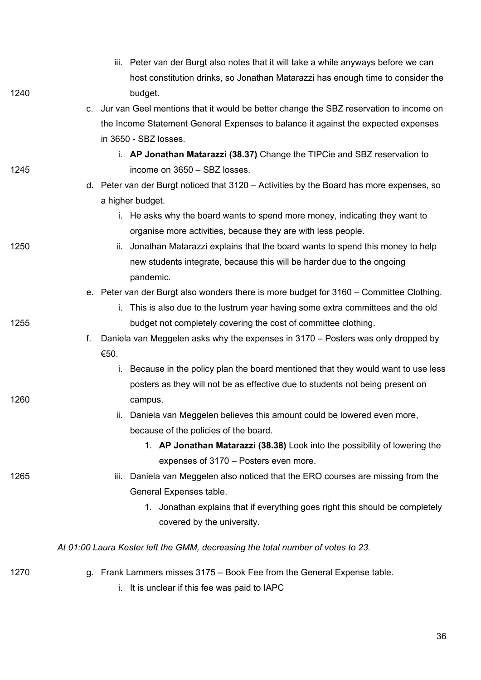|      | iii. Peter van der Burgt also notes that it will take a while anyways before we can      |
|------|------------------------------------------------------------------------------------------|
|      | host constitution drinks, so Jonathan Matarazzi has enough time to consider the          |
| 1240 | budget.                                                                                  |
|      | c. Jur van Geel mentions that it would be better change the SBZ reservation to income on |
|      | the Income Statement General Expenses to balance it against the expected expenses        |
|      | in 3650 - SBZ losses.                                                                    |
|      | i. AP Jonathan Matarazzi (38.37) Change the TIPCie and SBZ reservation to                |
| 1245 | income on 3650 - SBZ losses.                                                             |
|      | d. Peter van der Burgt noticed that 3120 - Activities by the Board has more expenses, so |
|      | a higher budget.                                                                         |
|      | i. He asks why the board wants to spend more money, indicating they want to              |
|      | organise more activities, because they are with less people.                             |
| 1250 | ii. Jonathan Matarazzi explains that the board wants to spend this money to help         |
|      | new students integrate, because this will be harder due to the ongoing                   |
|      | pandemic.                                                                                |
|      | e. Peter van der Burgt also wonders there is more budget for 3160 – Committee Clothing.  |
|      | i. This is also due to the lustrum year having some extra committees and the old         |
| 1255 | budget not completely covering the cost of committee clothing.                           |
|      | Daniela van Meggelen asks why the expenses in 3170 – Posters was only dropped by<br>f.   |
|      | €50.                                                                                     |
|      | Because in the policy plan the board mentioned that they would want to use less<br>i.    |
|      | posters as they will not be as effective due to students not being present on            |
| 1260 | campus.                                                                                  |
|      | ii. Daniela van Meggelen believes this amount could be lowered even more,                |
|      | because of the policies of the board.                                                    |
|      | 1. AP Jonathan Matarazzi (38.38) Look into the possibility of lowering the               |
|      | expenses of 3170 - Posters even more.                                                    |
| 1265 | Daniela van Meggelen also noticed that the ERO courses are missing from the<br>Ш.        |
|      | General Expenses table.                                                                  |
|      | 1. Jonathan explains that if everything goes right this should be completely             |
|      | covered by the university.                                                               |
|      | At 01:00 Laura Kester left the GMM, decreasing the total number of votes to 23.          |
| 1270 | g. Frank Lammers misses 3175 – Book Fee from the General Expense table.                  |
|      | i. It is unclear if this fee was paid to IAPC                                            |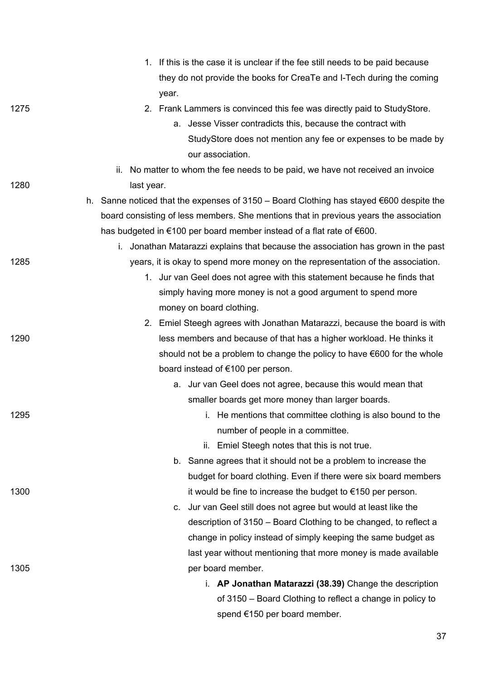|      | 1. If this is the case it is unclear if the fee still needs to be paid because                    |
|------|---------------------------------------------------------------------------------------------------|
|      | they do not provide the books for CreaTe and I-Tech during the coming                             |
|      | year.                                                                                             |
| 1275 | 2. Frank Lammers is convinced this fee was directly paid to StudyStore.                           |
|      | a. Jesse Visser contradicts this, because the contract with                                       |
|      | StudyStore does not mention any fee or expenses to be made by                                     |
|      | our association.                                                                                  |
|      | ii. No matter to whom the fee needs to be paid, we have not received an invoice                   |
| 1280 | last year.                                                                                        |
|      | h. Sanne noticed that the expenses of 3150 – Board Clothing has stayed $\epsilon$ 600 despite the |
|      | board consisting of less members. She mentions that in previous years the association             |
|      | has budgeted in €100 per board member instead of a flat rate of €600.                             |
|      | i. Jonathan Matarazzi explains that because the association has grown in the past                 |
| 1285 | years, it is okay to spend more money on the representation of the association.                   |
|      | 1. Jur van Geel does not agree with this statement because he finds that                          |
|      | simply having more money is not a good argument to spend more                                     |
|      | money on board clothing.                                                                          |
|      | 2. Emiel Steegh agrees with Jonathan Matarazzi, because the board is with                         |
| 1290 | less members and because of that has a higher workload. He thinks it                              |
|      | should not be a problem to change the policy to have €600 for the whole                           |
|      | board instead of €100 per person.                                                                 |
|      | a. Jur van Geel does not agree, because this would mean that                                      |
|      | smaller boards get more money than larger boards.                                                 |
| 1295 | i. He mentions that committee clothing is also bound to the                                       |
|      | number of people in a committee.                                                                  |
|      | ii. Emiel Steegh notes that this is not true.                                                     |
|      | b. Sanne agrees that it should not be a problem to increase the                                   |
|      | budget for board clothing. Even if there were six board members                                   |
| 1300 | it would be fine to increase the budget to €150 per person.                                       |
|      | Jur van Geel still does not agree but would at least like the<br>C.                               |
|      | description of 3150 – Board Clothing to be changed, to reflect a                                  |
|      | change in policy instead of simply keeping the same budget as                                     |
|      | last year without mentioning that more money is made available                                    |
| 1305 | per board member.                                                                                 |
|      | i. AP Jonathan Matarazzi (38.39) Change the description                                           |
|      | of 3150 - Board Clothing to reflect a change in policy to                                         |
|      | spend €150 per board member.                                                                      |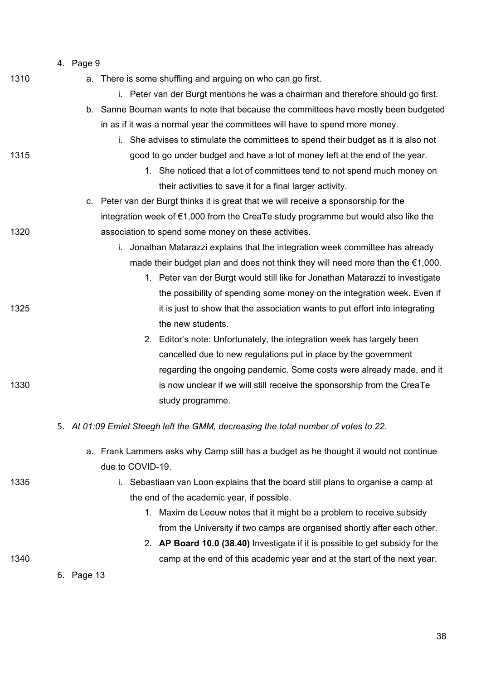| 1310 | a. There is some shuffling and arguing on who can go first.                              |
|------|------------------------------------------------------------------------------------------|
|      | i. Peter van der Burgt mentions he was a chairman and therefore should go first.         |
|      | b. Sanne Bouman wants to note that because the committees have mostly been budgeted      |
|      | in as if it was a normal year the committees will have to spend more money.              |
|      | i. She advises to stimulate the committees to spend their budget as it is also not       |
| 1315 | good to go under budget and have a lot of money left at the end of the year.             |
|      | 1. She noticed that a lot of committees tend to not spend much money on                  |
|      | their activities to save it for a final larger activity.                                 |
|      | c. Peter van der Burgt thinks it is great that we will receive a sponsorship for the     |
|      | integration week of €1,000 from the CreaTe study programme but would also like the       |
| 1320 | association to spend some money on these activities.                                     |
|      | Jonathan Matarazzi explains that the integration week committee has already<br>i.        |
|      | made their budget plan and does not think they will need more than the $\epsilon$ 1,000. |
|      | 1. Peter van der Burgt would still like for Jonathan Matarazzi to investigate            |
|      | the possibility of spending some money on the integration week. Even if                  |
| 1325 | it is just to show that the association wants to put effort into integrating             |
|      | the new students.                                                                        |
|      | 2. Editor's note: Unfortunately, the integration week has largely been                   |
|      | cancelled due to new regulations put in place by the government                          |
|      | regarding the ongoing pandemic. Some costs were already made, and it                     |
| 1330 | is now unclear if we will still receive the sponsorship from the CreaTe                  |
|      | study programme.                                                                         |
|      | 5. At 01:09 Emiel Steegh left the GMM, decreasing the total number of votes to 22.       |
|      | a. Frank Lammers asks why Camp still has a budget as he thought it would not continue    |
|      | due to COVID-19.                                                                         |
| 1335 | Sebastiaan van Loon explains that the board still plans to organise a camp at<br>i.      |
|      | the end of the academic year, if possible.                                               |
|      | 1. Maxim de Leeuw notes that it might be a problem to receive subsidy                    |
|      | from the University if two camps are organised shortly after each other.                 |
|      | 2. AP Board 10.0 (38.40) Investigate if it is possible to get subsidy for the            |
| 1340 | camp at the end of this academic year and at the start of the next year.                 |
|      | 6. Page 13                                                                               |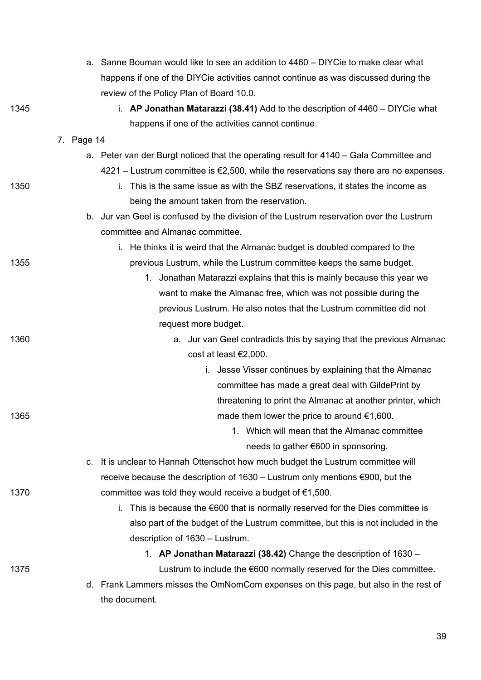|      | a. Sanne Bouman would like to see an addition to 4460 – DIYCie to make clear what                 |
|------|---------------------------------------------------------------------------------------------------|
|      | happens if one of the DIYCie activities cannot continue as was discussed during the               |
|      | review of the Policy Plan of Board 10.0.                                                          |
| 1345 | i. AP Jonathan Matarazzi (38.41) Add to the description of $4460 - DIY$ Cie what                  |
|      | happens if one of the activities cannot continue.                                                 |
|      | 7. Page 14                                                                                        |
|      | a. Peter van der Burgt noticed that the operating result for 4140 – Gala Committee and            |
|      | $4221 -$ Lustrum committee is $\epsilon$ 2,500, while the reservations say there are no expenses. |
| 1350 | This is the same issue as with the SBZ reservations, it states the income as<br>İ.                |
|      | being the amount taken from the reservation.                                                      |
|      | b. Jur van Geel is confused by the division of the Lustrum reservation over the Lustrum           |
|      | committee and Almanac committee.                                                                  |
|      | i. He thinks it is weird that the Almanac budget is doubled compared to the                       |
| 1355 | previous Lustrum, while the Lustrum committee keeps the same budget.                              |
|      | 1. Jonathan Matarazzi explains that this is mainly because this year we                           |
|      | want to make the Almanac free, which was not possible during the                                  |
|      | previous Lustrum. He also notes that the Lustrum committee did not                                |
|      | request more budget.                                                                              |
| 1360 | a. Jur van Geel contradicts this by saying that the previous Almanac                              |
|      | cost at least €2,000.                                                                             |
|      | i. Jesse Visser continues by explaining that the Almanac                                          |
|      | committee has made a great deal with GildePrint by                                                |
|      | threatening to print the Almanac at another printer, which                                        |
| 1365 | made them lower the price to around $€1,600$ .                                                    |
|      | 1. Which will mean that the Almanac committee                                                     |
|      | needs to gather €600 in sponsoring.                                                               |
|      | It is unclear to Hannah Ottenschot how much budget the Lustrum committee will<br>C.               |
|      | receive because the description of $1630 -$ Lustrum only mentions $\epsilon$ 900, but the         |
| 1370 | committee was told they would receive a budget of $\epsilon$ 1,500.                               |
|      | This is because the $\epsilon$ 600 that is normally reserved for the Dies committee is<br>Ĺ.      |
|      | also part of the budget of the Lustrum committee, but this is not included in the                 |
|      | description of 1630 - Lustrum.                                                                    |
|      | 1. AP Jonathan Matarazzi (38.42) Change the description of 1630 -                                 |
| 1375 | Lustrum to include the €600 normally reserved for the Dies committee.                             |
|      | d. Frank Lammers misses the OmNomCom expenses on this page, but also in the rest of               |
|      | the document.                                                                                     |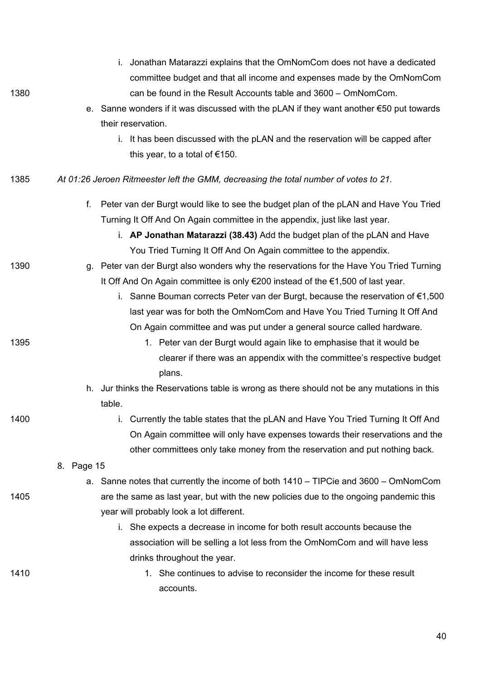| 1380 | i. Jonathan Matarazzi explains that the OmNomCom does not have a dedicated<br>committee budget and that all income and expenses made by the OmNomCom<br>can be found in the Result Accounts table and 3600 - OmNomCom.<br>e. Sanne wonders if it was discussed with the pLAN if they want another €50 put towards<br>their reservation.<br>It has been discussed with the pLAN and the reservation will be capped after<br>İ.<br>this year, to a total of $€150$ . |
|------|--------------------------------------------------------------------------------------------------------------------------------------------------------------------------------------------------------------------------------------------------------------------------------------------------------------------------------------------------------------------------------------------------------------------------------------------------------------------|
| 1385 | At 01:26 Jeroen Ritmeester left the GMM, decreasing the total number of votes to 21.                                                                                                                                                                                                                                                                                                                                                                               |
|      | Peter van der Burgt would like to see the budget plan of the pLAN and Have You Tried<br>f.<br>Turning It Off And On Again committee in the appendix, just like last year.<br>i. AP Jonathan Matarazzi (38.43) Add the budget plan of the pLAN and Have<br>You Tried Turning It Off And On Again committee to the appendix.                                                                                                                                         |
| 1390 | g. Peter van der Burgt also wonders why the reservations for the Have You Tried Turning<br>It Off And On Again committee is only €200 instead of the €1,500 of last year.<br>i. Sanne Bouman corrects Peter van der Burgt, because the reservation of €1,500<br>last year was for both the OmNomCom and Have You Tried Turning It Off And<br>On Again committee and was put under a general source called hardware.                                                |
| 1395 | 1. Peter van der Burgt would again like to emphasise that it would be<br>clearer if there was an appendix with the committee's respective budget<br>plans.<br>h. Jur thinks the Reservations table is wrong as there should not be any mutations in this                                                                                                                                                                                                           |
|      | table.                                                                                                                                                                                                                                                                                                                                                                                                                                                             |
| 1400 | i. Currently the table states that the pLAN and Have You Tried Turning It Off And<br>On Again committee will only have expenses towards their reservations and the<br>other committees only take money from the reservation and put nothing back.<br>8. Page 15                                                                                                                                                                                                    |
|      | a. Sanne notes that currently the income of both $1410 - TIPC$ ie and $3600 - OmNomCom$                                                                                                                                                                                                                                                                                                                                                                            |
| 1405 | are the same as last year, but with the new policies due to the ongoing pandemic this<br>year will probably look a lot different.<br>i. She expects a decrease in income for both result accounts because the                                                                                                                                                                                                                                                      |
|      | association will be selling a lot less from the OmNomCom and will have less                                                                                                                                                                                                                                                                                                                                                                                        |
|      | drinks throughout the year.                                                                                                                                                                                                                                                                                                                                                                                                                                        |
| 1410 | 1. She continues to advise to reconsider the income for these result<br>accounts.                                                                                                                                                                                                                                                                                                                                                                                  |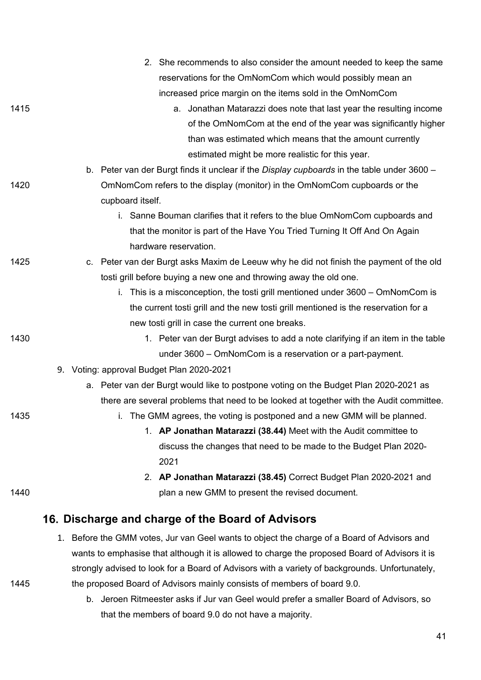|      | 2. She recommends to also consider the amount needed to keep the same                             |
|------|---------------------------------------------------------------------------------------------------|
|      | reservations for the OmNomCom which would possibly mean an                                        |
|      | increased price margin on the items sold in the OmNomCom                                          |
| 1415 | Jonathan Matarazzi does note that last year the resulting income<br>а.                            |
|      | of the OmNomCom at the end of the year was significantly higher                                   |
|      | than was estimated which means that the amount currently                                          |
|      | estimated might be more realistic for this year.                                                  |
|      | b. Peter van der Burgt finds it unclear if the <i>Display cupboards</i> in the table under 3600 – |
| 1420 | OmNomCom refers to the display (monitor) in the OmNomCom cupboards or the                         |
|      | cupboard itself.                                                                                  |
|      | i. Sanne Bouman clarifies that it refers to the blue OmNomCom cupboards and                       |
|      | that the monitor is part of the Have You Tried Turning It Off And On Again                        |
|      | hardware reservation.                                                                             |
| 1425 | c. Peter van der Burgt asks Maxim de Leeuw why he did not finish the payment of the old           |
|      | tosti grill before buying a new one and throwing away the old one.                                |
|      | i. This is a misconception, the tosti grill mentioned under $3600 - OMNomCom$ is                  |
|      | the current tosti grill and the new tosti grill mentioned is the reservation for a                |
|      | new tosti grill in case the current one breaks.                                                   |
| 1430 | 1. Peter van der Burgt advises to add a note clarifying if an item in the table                   |
|      | under 3600 – OmNomCom is a reservation or a part-payment.                                         |
|      | 9. Voting: approval Budget Plan 2020-2021                                                         |
|      | a. Peter van der Burgt would like to postpone voting on the Budget Plan 2020-2021 as              |
|      | there are several problems that need to be looked at together with the Audit committee.           |
| 1435 | i. The GMM agrees, the voting is postponed and a new GMM will be planned.                         |
|      | 1. AP Jonathan Matarazzi (38.44) Meet with the Audit committee to                                 |
|      | discuss the changes that need to be made to the Budget Plan 2020-                                 |
|      | 2021                                                                                              |
|      | 2. AP Jonathan Matarazzi (38.45) Correct Budget Plan 2020-2021 and                                |
| 1440 | plan a new GMM to present the revised document.                                                   |
|      | 16. Discharge and charge of the Board of Advisors                                                 |
|      | Before the GMM votes, Jur van Geel wants to object the charge of a Board of Advisors and<br>1.    |
|      | wants to emphasise that although it is allowed to charge the proposed Board of Advisors it is     |

- 
- 1445 the proposed Board of Advisors mainly consists of members of board 9.0.
	- b. Jeroen Ritmeester asks if Jur van Geel would prefer a smaller Board of Advisors, so that the members of board 9.0 do not have a majority.

strongly advised to look for a Board of Advisors with a variety of backgrounds. Unfortunately,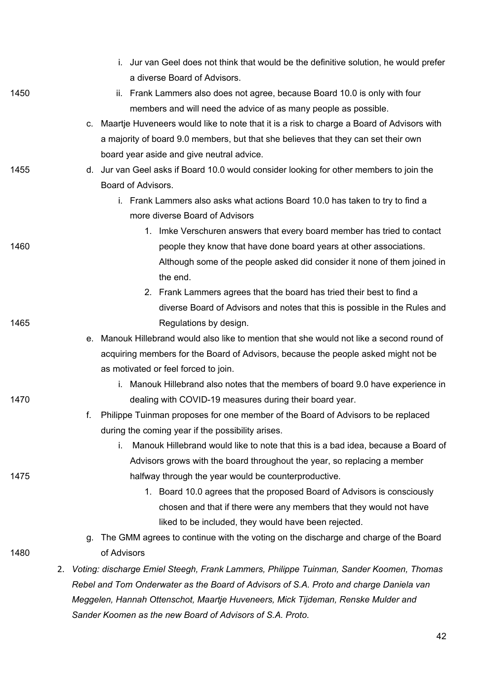|      |    |    | i. Jur van Geel does not think that would be the definitive solution, he would prefer        |
|------|----|----|----------------------------------------------------------------------------------------------|
|      |    |    | a diverse Board of Advisors.                                                                 |
| 1450 |    |    | ii. Frank Lammers also does not agree, because Board 10.0 is only with four                  |
|      |    |    | members and will need the advice of as many people as possible.                              |
|      |    |    | c. Maartje Huveneers would like to note that it is a risk to charge a Board of Advisors with |
|      |    |    | a majority of board 9.0 members, but that she believes that they can set their own           |
|      |    |    | board year aside and give neutral advice.                                                    |
| 1455 |    |    | d. Jur van Geel asks if Board 10.0 would consider looking for other members to join the      |
|      |    |    | Board of Advisors.                                                                           |
|      |    |    | i. Frank Lammers also asks what actions Board 10.0 has taken to try to find a                |
|      |    |    | more diverse Board of Advisors                                                               |
|      |    |    | 1. Imke Verschuren answers that every board member has tried to contact                      |
| 1460 |    |    | people they know that have done board years at other associations.                           |
|      |    |    | Although some of the people asked did consider it none of them joined in                     |
|      |    |    | the end.                                                                                     |
|      |    |    | 2. Frank Lammers agrees that the board has tried their best to find a                        |
|      |    |    | diverse Board of Advisors and notes that this is possible in the Rules and                   |
| 1465 |    |    | Regulations by design.                                                                       |
|      |    |    | e. Manouk Hillebrand would also like to mention that she would not like a second round of    |
|      |    |    | acquiring members for the Board of Advisors, because the people asked might not be           |
|      |    |    | as motivated or feel forced to join.                                                         |
|      |    |    | i. Manouk Hillebrand also notes that the members of board 9.0 have experience in             |
| 1470 |    |    | dealing with COVID-19 measures during their board year.                                      |
|      |    | f. | Philippe Tuinman proposes for one member of the Board of Advisors to be replaced             |
|      |    |    | during the coming year if the possibility arises.                                            |
|      |    |    | i.<br>Manouk Hillebrand would like to note that this is a bad idea, because a Board of       |
|      |    |    | Advisors grows with the board throughout the year, so replacing a member                     |
| 1475 |    |    | halfway through the year would be counterproductive.                                         |
|      |    |    | 1. Board 10.0 agrees that the proposed Board of Advisors is consciously                      |
|      |    |    | chosen and that if there were any members that they would not have                           |
|      |    |    | liked to be included, they would have been rejected.                                         |
|      |    | q. | The GMM agrees to continue with the voting on the discharge and charge of the Board          |
| 1480 |    |    | of Advisors                                                                                  |
|      | 2. |    | Voting: discharge Emiel Steegh, Frank Lammers, Philippe Tuinman, Sander Koomen, Thomas       |
|      |    |    | Rebel and Tom Onderwater as the Board of Advisors of S.A. Proto and charge Daniela van       |
|      |    |    | Meggelen, Hannah Ottenschot, Maartje Huveneers, Mick Tijdeman, Renske Mulder and             |
|      |    |    | Sander Koomen as the new Board of Advisors of S.A. Proto.                                    |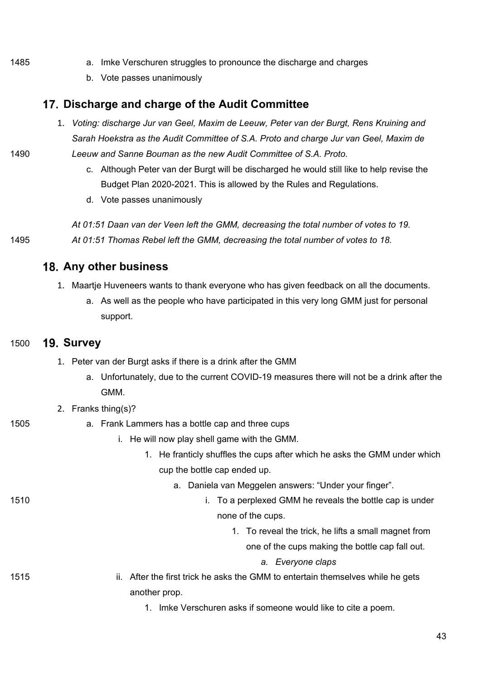- 1485 a. Imke Verschuren struggles to pronounce the discharge and charges
	- b. Vote passes unanimously

### **Discharge and charge of the Audit Committee**

- 1. *Voting: discharge Jur van Geel, Maxim de Leeuw, Peter van der Burgt, Rens Kruining and Sarah Hoekstra as the Audit Committee of S.A. Proto and charge Jur van Geel, Maxim de*  1490 *Leeuw and Sanne Bouman as the new Audit Committee of S.A. Proto.*
	- c. Although Peter van der Burgt will be discharged he would still like to help revise the Budget Plan 2020-2021. This is allowed by the Rules and Regulations.
	- d. Vote passes unanimously

*At 01:51 Daan van der Veen left the GMM, decreasing the total number of votes to 19.* 1495 *At 01:51 Thomas Rebel left the GMM, decreasing the total number of votes to 18.*

### **Any other business**

- 1. Maartje Huveneers wants to thank everyone who has given feedback on all the documents.
	- a. As well as the people who have participated in this very long GMM just for personal support.

#### 1500 **Survey**

- 1. Peter van der Burgt asks if there is a drink after the GMM
	- a. Unfortunately, due to the current COVID-19 measures there will not be a drink after the GMM.
- 2. Franks thing(s)?
- 1505 a. Frank Lammers has a bottle cap and three cups
	- i. He will now play shell game with the GMM.
		- 1. He franticly shuffles the cups after which he asks the GMM under which cup the bottle cap ended up.
			- a. Daniela van Meggelen answers: "Under your finger".
- 1510 i. To a perplexed GMM he reveals the bottle cap is under
	- none of the cups.
		- 1. To reveal the trick, he lifts a small magnet from
			- one of the cups making the bottle cap fall out.
				- *a. Everyone claps*

1515 ii. After the first trick he asks the GMM to entertain themselves while he gets another prop.

1. Imke Verschuren asks if someone would like to cite a poem.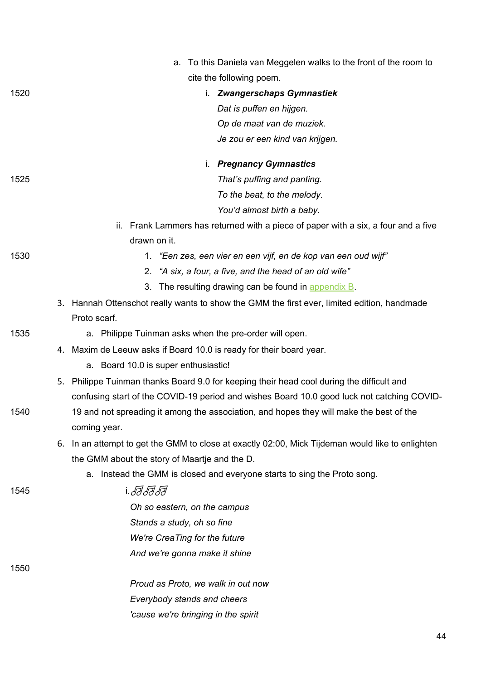|      | To this Daniela van Meggelen walks to the front of the room to<br>а.                                |
|------|-----------------------------------------------------------------------------------------------------|
|      | cite the following poem.                                                                            |
| 1520 | i. Zwangerschaps Gymnastiek                                                                         |
|      | Dat is puffen en hijgen.                                                                            |
|      | Op de maat van de muziek.                                                                           |
|      | Je zou er een kind van krijgen.                                                                     |
|      | <b>Pregnancy Gymnastics</b><br>İ.                                                                   |
| 1525 | That's puffing and panting.                                                                         |
|      | To the beat, to the melody.                                                                         |
|      | You'd almost birth a baby.                                                                          |
|      | ii. Frank Lammers has returned with a piece of paper with a six, a four and a five                  |
|      | drawn on it.                                                                                        |
| 1530 | 1. "Een zes, een vier en een vijf, en de kop van een oud wijf"                                      |
|      | "A six, a four, a five, and the head of an old wife"<br>2.                                          |
|      | The resulting drawing can be found in appendix B.<br>3.                                             |
|      | 3. Hannah Ottenschot really wants to show the GMM the first ever, limited edition, handmade         |
|      | Proto scarf.                                                                                        |
| 1535 | a. Philippe Tuinman asks when the pre-order will open.                                              |
|      | 4. Maxim de Leeuw asks if Board 10.0 is ready for their board year.                                 |
|      | a. Board 10.0 is super enthusiastic!                                                                |
|      | 5. Philippe Tuinman thanks Board 9.0 for keeping their head cool during the difficult and           |
|      | confusing start of the COVID-19 period and wishes Board 10.0 good luck not catching COVID-          |
| 1540 | 19 and not spreading it among the association, and hopes they will make the best of the             |
|      | coming year.                                                                                        |
|      | In an attempt to get the GMM to close at exactly 02:00, Mick Tijdeman would like to enlighten<br>6. |
|      | the GMM about the story of Maartje and the D.                                                       |
|      | a. Instead the GMM is closed and everyone starts to sing the Proto song.                            |
| 1545 | i. <i>F1 F1 F</i> 1                                                                                 |
|      | Oh so eastern, on the campus                                                                        |
|      | Stands a study, oh so fine                                                                          |
|      | We're CreaTing for the future                                                                       |
|      | And we're gonna make it shine                                                                       |
| 1550 |                                                                                                     |
|      | Proud as Proto, we walk in out now                                                                  |
|      | Everybody stands and cheers                                                                         |
|      | 'cause we're bringing in the spirit                                                                 |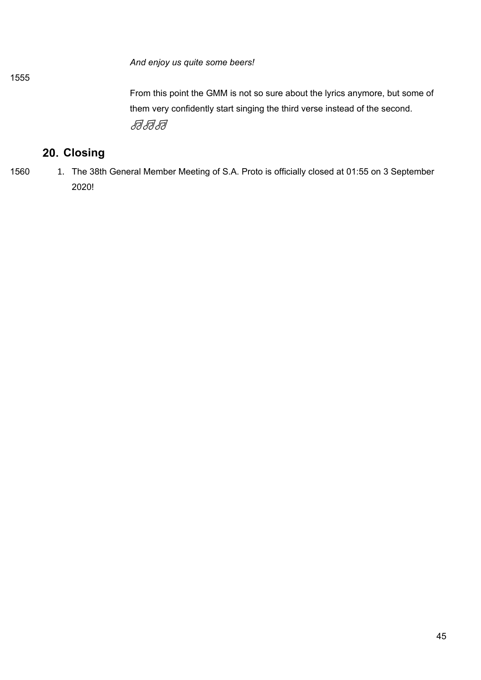*And enjoy us quite some beers!*

From this point the GMM is not so sure about the lyrics anymore, but some of them very confidently start singing the third verse instead of the second. *FFFF* 

# 20. Closing

1555

1560 1. The 38th General Member Meeting of S.A. Proto is officially closed at 01:55 on 3 September 2020!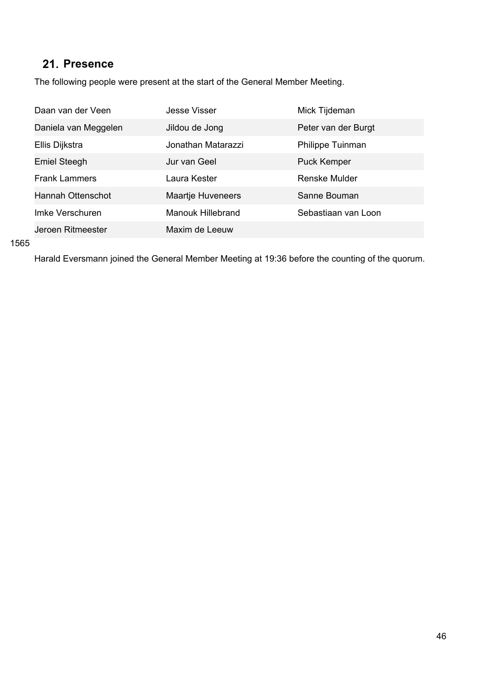# 21. Presence

The following people were present at the start of the General Member Meeting.

| Daan van der Veen        | Jesse Visser             | Mick Tijdeman       |
|--------------------------|--------------------------|---------------------|
| Daniela van Meggelen     | Jildou de Jong           | Peter van der Burgt |
| Ellis Dijkstra           | Jonathan Matarazzi       | Philippe Tuinman    |
| <b>Emiel Steegh</b>      | Jur van Geel             | <b>Puck Kemper</b>  |
| <b>Frank Lammers</b>     | Laura Kester             | Renske Mulder       |
| <b>Hannah Ottenschot</b> | <b>Maartje Huveneers</b> | Sanne Bouman        |
| Imke Verschuren          | <b>Manouk Hillebrand</b> | Sebastiaan van Loon |
| Jeroen Ritmeester        | Maxim de Leeuw           |                     |

#### 1565

Harald Eversmann joined the General Member Meeting at 19:36 before the counting of the quorum.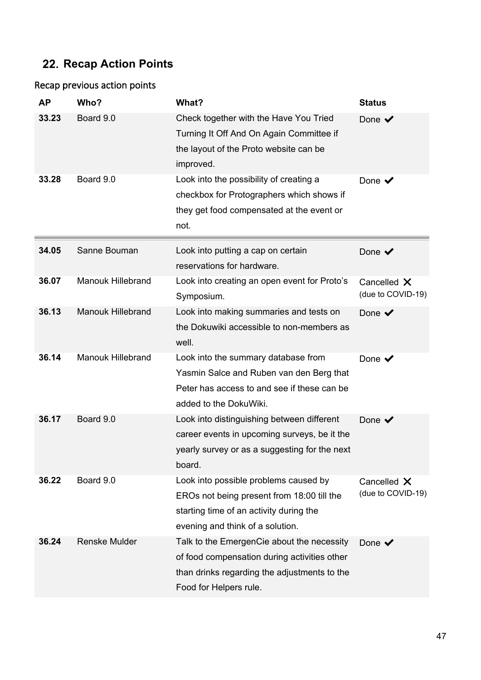# **Recap Action Points**

## Recap previous action points

| <b>AP</b> | Who?                     | What?                                                                                                                                                                | <b>Status</b>                    |
|-----------|--------------------------|----------------------------------------------------------------------------------------------------------------------------------------------------------------------|----------------------------------|
| 33.23     | Board 9.0                | Check together with the Have You Tried<br>Turning It Off And On Again Committee if<br>the layout of the Proto website can be<br>improved.                            | Done $\blacktriangledown$        |
| 33.28     | Board 9.0                | Look into the possibility of creating a<br>checkbox for Protographers which shows if<br>they get food compensated at the event or<br>not.                            | Done $\blacktriangledown$        |
| 34.05     | Sanne Bouman             | Look into putting a cap on certain<br>reservations for hardware.                                                                                                     | Done $\blacktriangledown$        |
| 36.07     | <b>Manouk Hillebrand</b> | Look into creating an open event for Proto's<br>Symposium.                                                                                                           | Cancelled X<br>(due to COVID-19) |
| 36.13     | <b>Manouk Hillebrand</b> | Look into making summaries and tests on<br>the Dokuwiki accessible to non-members as<br>well.                                                                        | Done $\checkmark$                |
| 36.14     | <b>Manouk Hillebrand</b> | Look into the summary database from<br>Yasmin Salce and Ruben van den Berg that<br>Peter has access to and see if these can be<br>added to the DokuWiki.             | Done $\checkmark$                |
| 36.17     | Board 9.0                | Look into distinguishing between different<br>career events in upcoming surveys, be it the<br>yearly survey or as a suggesting for the next<br>board.                | Done $\checkmark$                |
| 36.22     | Board 9.0                | Look into possible problems caused by<br>EROs not being present from 18:00 till the<br>starting time of an activity during the<br>evening and think of a solution.   | Cancelled X<br>(due to COVID-19) |
| 36.24     | <b>Renske Mulder</b>     | Talk to the EmergenCie about the necessity<br>of food compensation during activities other<br>than drinks regarding the adjustments to the<br>Food for Helpers rule. | Done $\checkmark$                |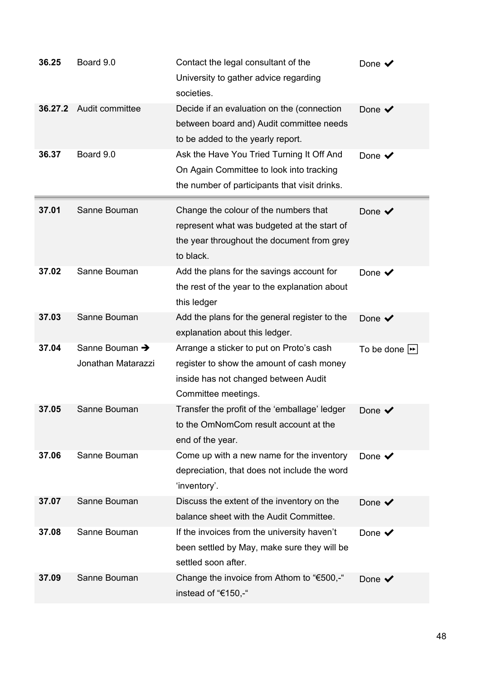| 36.25   | Board 9.0                            | Contact the legal consultant of the<br>University to gather advice regarding<br>societies.                                                           | Done $\checkmark$                |
|---------|--------------------------------------|------------------------------------------------------------------------------------------------------------------------------------------------------|----------------------------------|
| 36.27.2 | Audit committee                      | Decide if an evaluation on the (connection<br>between board and) Audit committee needs<br>to be added to the yearly report.                          | Done $\checkmark$                |
| 36.37   | Board 9.0                            | Ask the Have You Tried Turning It Off And<br>On Again Committee to look into tracking<br>the number of participants that visit drinks.               | Done $\checkmark$                |
| 37.01   | Sanne Bouman                         | Change the colour of the numbers that<br>represent what was budgeted at the start of<br>the year throughout the document from grey<br>to black.      | Done $\checkmark$                |
| 37.02   | Sanne Bouman                         | Add the plans for the savings account for<br>the rest of the year to the explanation about<br>this ledger                                            | Done $\checkmark$                |
| 37.03   | Sanne Bouman                         | Add the plans for the general register to the<br>explanation about this ledger.                                                                      | Done $\checkmark$                |
| 37.04   | Sanne Bouman →<br>Jonathan Matarazzi | Arrange a sticker to put on Proto's cash<br>register to show the amount of cash money<br>inside has not changed between Audit<br>Committee meetings. | To be done $\blacktriangleright$ |
| 37.05   | Sanne Bouman                         | Transfer the profit of the 'emballage' ledger<br>to the OmNomCom result account at the<br>end of the year.                                           | Done $\checkmark$                |
| 37.06   | Sanne Bouman                         | Come up with a new name for the inventory<br>depreciation, that does not include the word<br>'inventory'.                                            | Done $\checkmark$                |
| 37.07   | Sanne Bouman                         | Discuss the extent of the inventory on the<br>balance sheet with the Audit Committee.                                                                | Done $\blacktriangledown$        |
| 37.08   | Sanne Bouman                         | If the invoices from the university haven't<br>been settled by May, make sure they will be<br>settled soon after.                                    | Done $\checkmark$                |
| 37.09   | Sanne Bouman                         | Change the invoice from Athom to "€500,-"<br>instead of "€150,-"                                                                                     | Done $\checkmark$                |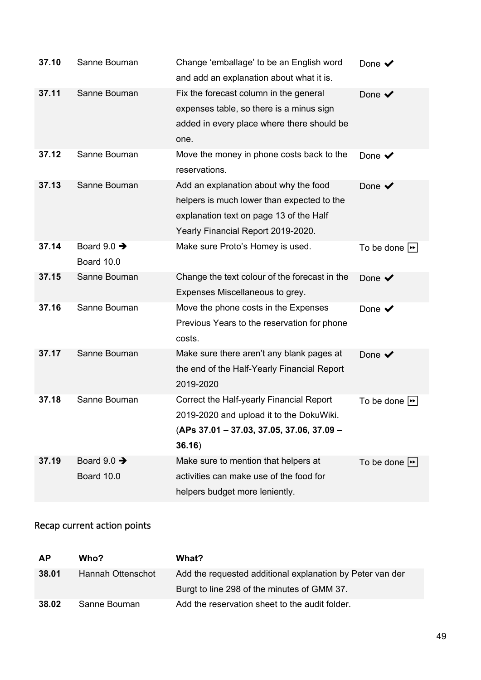| 37.10 | Sanne Bouman                          | Change 'emballage' to be an English word<br>and add an explanation about what it is.                                                                                 | Done $\checkmark$                |
|-------|---------------------------------------|----------------------------------------------------------------------------------------------------------------------------------------------------------------------|----------------------------------|
| 37.11 | Sanne Bouman                          | Fix the forecast column in the general<br>expenses table, so there is a minus sign<br>added in every place where there should be<br>one.                             | Done $\blacktriangledown$        |
| 37.12 | Sanne Bouman                          | Move the money in phone costs back to the<br>reservations.                                                                                                           | Done $\checkmark$                |
| 37.13 | Sanne Bouman                          | Add an explanation about why the food<br>helpers is much lower than expected to the<br>explanation text on page 13 of the Half<br>Yearly Financial Report 2019-2020. | Done $\blacktriangledown$        |
| 37.14 | Board $9.0 \rightarrow$<br>Board 10.0 | Make sure Proto's Homey is used.                                                                                                                                     | To be done $\blacktriangleright$ |
| 37.15 | Sanne Bouman                          | Change the text colour of the forecast in the<br>Expenses Miscellaneous to grey.                                                                                     | Done $\checkmark$                |
| 37.16 | Sanne Bouman                          | Move the phone costs in the Expenses<br>Previous Years to the reservation for phone<br>costs.                                                                        | Done $\checkmark$                |
| 37.17 | Sanne Bouman                          | Make sure there aren't any blank pages at<br>the end of the Half-Yearly Financial Report<br>2019-2020                                                                | Done $\checkmark$                |
| 37.18 | Sanne Bouman                          | Correct the Half-yearly Financial Report<br>2019-2020 and upload it to the DokuWiki.<br>(APs 37.01 - 37.03, 37.05, 37.06, 37.09 -<br>36.16)                          | To be done $\blacktriangleright$ |
| 37.19 | Board $9.0 \rightarrow$<br>Board 10.0 | Make sure to mention that helpers at<br>activities can make use of the food for<br>helpers budget more leniently.                                                    | To be done $\blacktriangleright$ |

## Recap current action points

| <b>AP</b> | Who?              | What?                                                     |
|-----------|-------------------|-----------------------------------------------------------|
| 38.01     | Hannah Ottenschot | Add the requested additional explanation by Peter van der |
|           |                   | Burgt to line 298 of the minutes of GMM 37.               |
| 38.02     | Sanne Bouman      | Add the reservation sheet to the audit folder.            |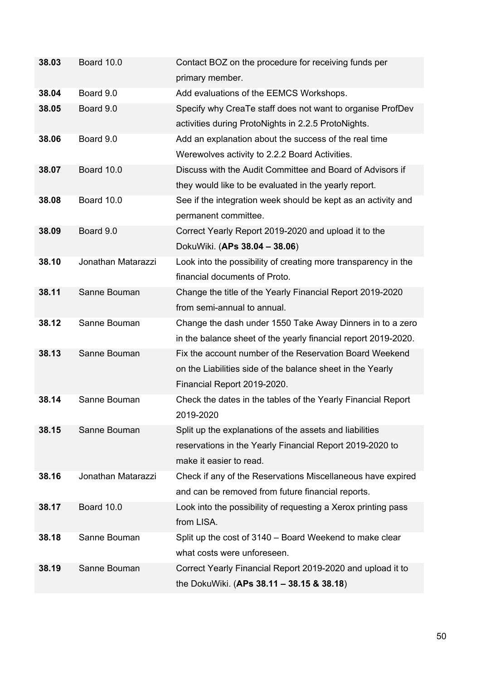| 38.03 | Board 10.0         | Contact BOZ on the procedure for receiving funds per           |
|-------|--------------------|----------------------------------------------------------------|
|       |                    | primary member.                                                |
| 38.04 | Board 9.0          | Add evaluations of the EEMCS Workshops.                        |
| 38.05 | Board 9.0          | Specify why CreaTe staff does not want to organise ProfDev     |
|       |                    | activities during ProtoNights in 2.2.5 ProtoNights.            |
| 38.06 | Board 9.0          | Add an explanation about the success of the real time          |
|       |                    | Werewolves activity to 2.2.2 Board Activities.                 |
| 38.07 | Board 10.0         | Discuss with the Audit Committee and Board of Advisors if      |
|       |                    | they would like to be evaluated in the yearly report.          |
| 38.08 | Board 10.0         | See if the integration week should be kept as an activity and  |
|       |                    | permanent committee.                                           |
| 38.09 | Board 9.0          | Correct Yearly Report 2019-2020 and upload it to the           |
|       |                    | DokuWiki. (APs 38.04 - 38.06)                                  |
| 38.10 | Jonathan Matarazzi | Look into the possibility of creating more transparency in the |
|       |                    | financial documents of Proto.                                  |
| 38.11 | Sanne Bouman       | Change the title of the Yearly Financial Report 2019-2020      |
|       |                    | from semi-annual to annual.                                    |
| 38.12 | Sanne Bouman       | Change the dash under 1550 Take Away Dinners in to a zero      |
|       |                    | in the balance sheet of the yearly financial report 2019-2020. |
| 38.13 | Sanne Bouman       | Fix the account number of the Reservation Board Weekend        |
|       |                    | on the Liabilities side of the balance sheet in the Yearly     |
|       |                    | Financial Report 2019-2020.                                    |
| 38.14 | Sanne Bouman       | Check the dates in the tables of the Yearly Financial Report   |
|       |                    | 2019-2020                                                      |
| 38.15 | Sanne Bouman       | Split up the explanations of the assets and liabilities        |
|       |                    | reservations in the Yearly Financial Report 2019-2020 to       |
|       |                    | make it easier to read.                                        |
| 38.16 | Jonathan Matarazzi | Check if any of the Reservations Miscellaneous have expired    |
|       |                    | and can be removed from future financial reports.              |
| 38.17 | Board 10.0         | Look into the possibility of requesting a Xerox printing pass  |
|       |                    | from LISA.                                                     |
| 38.18 | Sanne Bouman       | Split up the cost of 3140 – Board Weekend to make clear        |
|       |                    | what costs were unforeseen.                                    |
| 38.19 | Sanne Bouman       | Correct Yearly Financial Report 2019-2020 and upload it to     |
|       |                    | the DokuWiki. (APs 38.11 - 38.15 & 38.18)                      |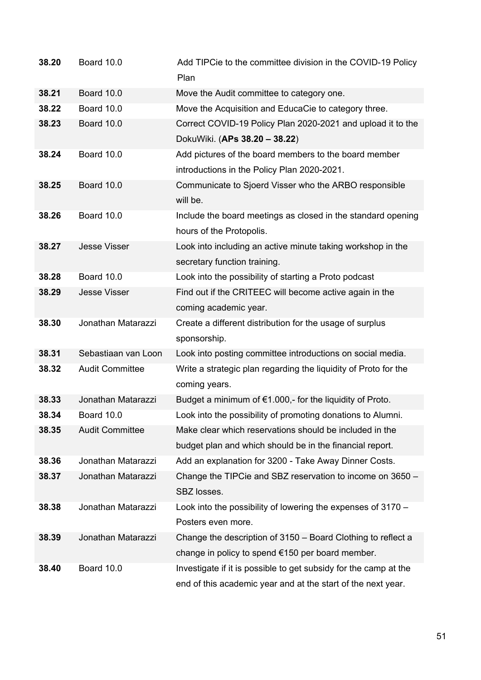| 38.20 | Board 10.0             | Add TIPCie to the committee division in the COVID-19 Policy<br>Plan |
|-------|------------------------|---------------------------------------------------------------------|
| 38.21 | Board 10.0             | Move the Audit committee to category one.                           |
| 38.22 | Board 10.0             | Move the Acquisition and EducaCie to category three.                |
| 38.23 | Board 10.0             | Correct COVID-19 Policy Plan 2020-2021 and upload it to the         |
|       |                        | DokuWiki. (APs 38.20 - 38.22)                                       |
| 38.24 | Board 10.0             | Add pictures of the board members to the board member               |
|       |                        | introductions in the Policy Plan 2020-2021.                         |
| 38.25 | Board 10.0             | Communicate to Sjoerd Visser who the ARBO responsible               |
|       |                        | will be.                                                            |
| 38.26 | Board 10.0             | Include the board meetings as closed in the standard opening        |
|       |                        | hours of the Protopolis.                                            |
| 38.27 | <b>Jesse Visser</b>    | Look into including an active minute taking workshop in the         |
|       |                        | secretary function training.                                        |
| 38.28 | Board 10.0             | Look into the possibility of starting a Proto podcast               |
| 38.29 | <b>Jesse Visser</b>    | Find out if the CRITEEC will become active again in the             |
|       |                        | coming academic year.                                               |
| 38.30 | Jonathan Matarazzi     | Create a different distribution for the usage of surplus            |
|       |                        | sponsorship.                                                        |
| 38.31 | Sebastiaan van Loon    | Look into posting committee introductions on social media.          |
| 38.32 | <b>Audit Committee</b> | Write a strategic plan regarding the liquidity of Proto for the     |
|       |                        | coming years.                                                       |
| 38.33 | Jonathan Matarazzi     | Budget a minimum of $€1.000$ ,- for the liquidity of Proto.         |
| 38.34 | Board 10.0             | Look into the possibility of promoting donations to Alumni.         |
| 38.35 | <b>Audit Committee</b> | Make clear which reservations should be included in the             |
|       |                        | budget plan and which should be in the financial report.            |
| 38.36 | Jonathan Matarazzi     | Add an explanation for 3200 - Take Away Dinner Costs.               |
| 38.37 | Jonathan Matarazzi     | Change the TIPCie and SBZ reservation to income on 3650 -           |
|       |                        | SBZ losses.                                                         |
| 38.38 | Jonathan Matarazzi     | Look into the possibility of lowering the expenses of 3170 -        |
|       |                        | Posters even more.                                                  |
| 38.39 | Jonathan Matarazzi     | Change the description of 3150 - Board Clothing to reflect a        |
|       |                        | change in policy to spend €150 per board member.                    |
| 38.40 | Board 10.0             | Investigate if it is possible to get subsidy for the camp at the    |
|       |                        | end of this academic year and at the start of the next year.        |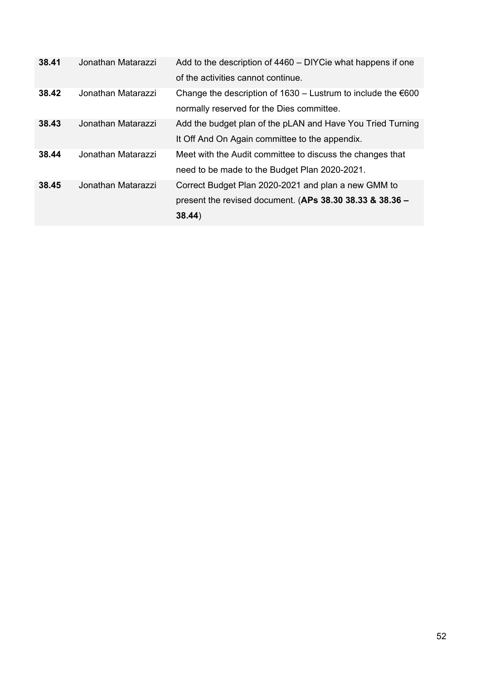| 38.41 | Jonathan Matarazzi | Add to the description of 4460 – DIYCie what happens if one      |
|-------|--------------------|------------------------------------------------------------------|
|       |                    | of the activities cannot continue.                               |
| 38.42 | Jonathan Matarazzi | Change the description of $1630 -$ Lustrum to include the $€600$ |
|       |                    | normally reserved for the Dies committee.                        |
| 38.43 | Jonathan Matarazzi | Add the budget plan of the pLAN and Have You Tried Turning       |
|       |                    | It Off And On Again committee to the appendix.                   |
| 38.44 | Jonathan Matarazzi | Meet with the Audit committee to discuss the changes that        |
|       |                    | need to be made to the Budget Plan 2020-2021.                    |
| 38.45 | Jonathan Matarazzi | Correct Budget Plan 2020-2021 and plan a new GMM to              |
|       |                    | present the revised document. (APs $38.30$ $38.33$ & $38.36$ –   |
|       |                    | 38.44)                                                           |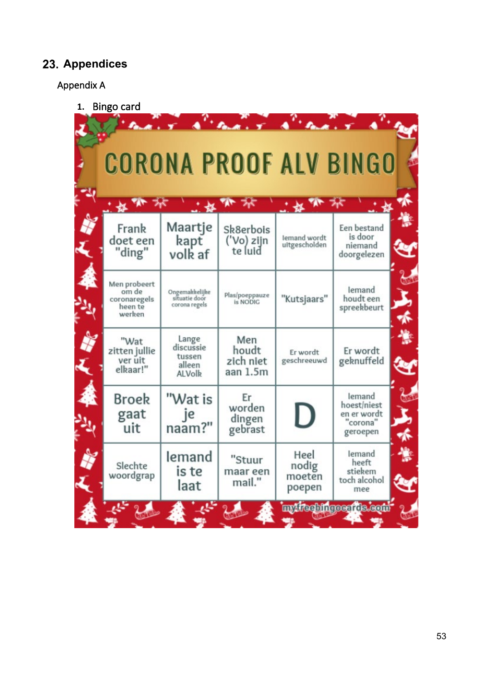## <span id="page-52-0"></span>**Appendices**

### Appendix A

**1.** Bingo card

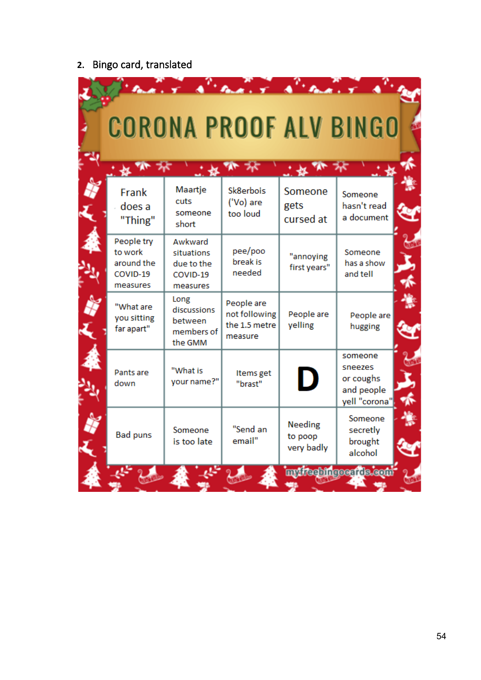# **2.** Bingo card, translated

|                                                             | $\mathbf{r}$ $\mathbf{A}^{\mathbf{r}}$<br><b>CORONA PROOF ALV BINGO</b> | $\mathbf{r}$                                            |                                         |                                                                |
|-------------------------------------------------------------|-------------------------------------------------------------------------|---------------------------------------------------------|-----------------------------------------|----------------------------------------------------------------|
| Frank<br>does a<br>"Thing"                                  | Maartje<br>cuts<br>someone<br>short                                     | Sk8erbois<br>('Vo) are<br>too loud                      | Someone<br>gets<br>cursed at            | Someone<br>hasn't read<br>a document                           |
| People try<br>to work<br>around the<br>COVID-19<br>measures | Awkward<br>situations<br>due to the<br>COVID-19<br>measures             | pee/poo<br>break is<br>needed                           | "annoying<br>first years"               | Someone<br>has a show<br>and tell                              |
| "What are<br>you sitting<br>far apart"                      | Long<br>discussions<br>between<br>members of<br>the GMM                 | People are<br>not following<br>the 1.5 metre<br>measure | People are<br>yelling                   | People are<br>hugging                                          |
| Pants are<br>down                                           | "What is<br>your name?"                                                 | Items get<br>"brast"                                    | D                                       | someone<br>sneezes<br>or coughs<br>and people<br>yell "corona" |
| <b>Bad puns</b>                                             | Someone<br>is too late                                                  | "Send an<br>email"                                      | <b>Needing</b><br>to poop<br>very badly | Someone<br>secretly<br>brought<br>alcohol                      |